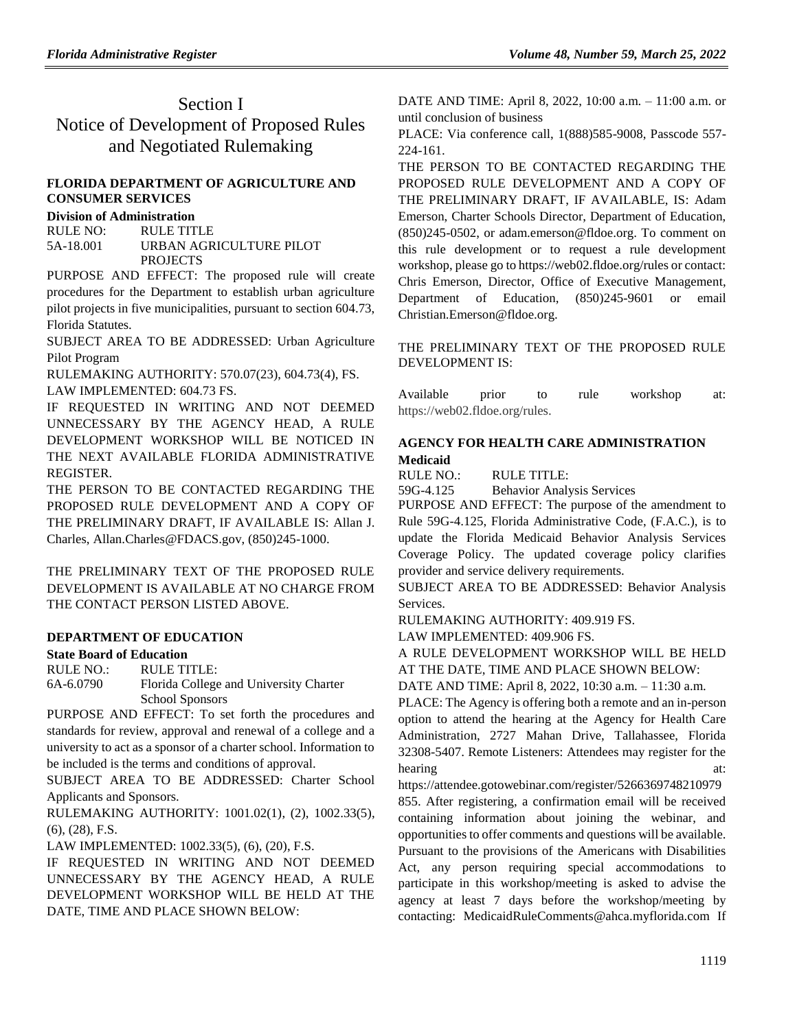## Section I Notice of Development of Proposed Rules and Negotiated Rulemaking

## **FLORIDA DEPARTMENT OF AGRICULTURE AND CONSUMER SERVICES**

## **Division of Administration**

RULE NO: RULE TITLE 5A-18.001 URBAN AGRICULTURE PILOT PROJECTS

PURPOSE AND EFFECT: The proposed rule will create procedures for the Department to establish urban agriculture pilot projects in five municipalities, pursuant to section 604.73, Florida Statutes.

SUBJECT AREA TO BE ADDRESSED: Urban Agriculture Pilot Program

RULEMAKING AUTHORITY: 570.07(23), 604.73(4), FS.

LAW IMPLEMENTED: 604.73 FS.

IF REQUESTED IN WRITING AND NOT DEEMED UNNECESSARY BY THE AGENCY HEAD, A RULE DEVELOPMENT WORKSHOP WILL BE NOTICED IN THE NEXT AVAILABLE FLORIDA ADMINISTRATIVE REGISTER.

THE PERSON TO BE CONTACTED REGARDING THE PROPOSED RULE DEVELOPMENT AND A COPY OF THE PRELIMINARY DRAFT, IF AVAILABLE IS: Allan J. Charles, Allan.Charles@FDACS.gov, (850)245-1000.

THE PRELIMINARY TEXT OF THE PROPOSED RULE DEVELOPMENT IS AVAILABLE AT NO CHARGE FROM THE CONTACT PERSON LISTED ABOVE.

## **[DEPARTMENT OF EDUCATION](https://www.flrules.org/gateway/department.asp?id=6)**

## **[State Board of Education](https://www.flrules.org/gateway/organization.asp?id=195)**

RULE NO.: RULE TITLE: [6A-6.0790](https://www.flrules.org/gateway/ruleNo.asp?id=6A-6.0790) Florida College and University Charter School Sponsors

PURPOSE AND EFFECT: To set forth the procedures and standards for review, approval and renewal of a college and a university to act as a sponsor of a charter school. Information to be included is the terms and conditions of approval.

SUBJECT AREA TO BE ADDRESSED: Charter School Applicants and Sponsors.

RULEMAKING AUTHORITY: [1001.02\(1\),](https://www.flrules.org/gateway/statute.asp?id=1001.02(1)) (2), [1002.33\(5\),](https://www.flrules.org/gateway/statute.asp?id=%201002.33(5)) (6), (28), F.S.

LAW IMPLEMENTED: [1002.33\(5\),](https://www.flrules.org/gateway/statute.asp?id=1002.33(5)) (6), (20), F.S.

IF REQUESTED IN WRITING AND NOT DEEMED UNNECESSARY BY THE AGENCY HEAD, A RULE DEVELOPMENT WORKSHOP WILL BE HELD AT THE DATE, TIME AND PLACE SHOWN BELOW:

DATE AND TIME: April 8, 2022, 10:00 a.m. – 11:00 a.m. or until conclusion of business

PLACE: Via conference call, 1(888)585-9008, Passcode 557- 224-161.

THE PERSON TO BE CONTACTED REGARDING THE PROPOSED RULE DEVELOPMENT AND A COPY OF THE PRELIMINARY DRAFT, IF AVAILABLE, IS: Adam Emerson, Charter Schools Director, Department of Education, (850)245-0502, or adam.emerson@fldoe.org. To comment on this rule development or to request a rule development workshop, please go to https://web02.fldoe.org/rules or contact: Chris Emerson, Director, Office of Executive Management, Department of Education, (850)245-9601 or email Christian.Emerson@fldoe.org.

THE PRELIMINARY TEXT OF THE PROPOSED RULE DEVELOPMENT IS:

Available prior to rule workshop at: https://web02.fldoe.org/rules.

## **[AGENCY FOR HEALTH CARE ADMINISTRATION](https://www.flrules.org/gateway/department.asp?id=59) [Medicaid](https://www.flrules.org/gateway/organization.asp?id=192)**

RULE NO.: RULE TITLE:

[59G-4.125](https://www.flrules.org/gateway/ruleNo.asp?id=59G-4.125) Behavior Analysis Services

PURPOSE AND EFFECT: The purpose of the amendment to Rule 59G-4.125, Florida Administrative Code, (F.A.C.), is to update the Florida Medicaid Behavior Analysis Services Coverage Policy. The updated coverage policy clarifies provider and service delivery requirements.

SUBJECT AREA TO BE ADDRESSED: Behavior Analysis Services.

RULEMAKING AUTHORITY: [409.919 FS.](https://www.flrules.org/gateway/statute.asp?id=409.919%20FS.)

LAW IMPLEMENTED: [409.906 FS.](https://www.flrules.org/gateway/statute.asp?id=409.906%20FS.)

A RULE DEVELOPMENT WORKSHOP WILL BE HELD AT THE DATE, TIME AND PLACE SHOWN BELOW:

DATE AND TIME: April 8, 2022, 10:30 a.m. – 11:30 a.m.

PLACE: The Agency is offering both a remote and an in-person option to attend the hearing at the Agency for Health Care Administration, 2727 Mahan Drive, Tallahassee, Florida 32308-5407. Remote Listeners: Attendees may register for the hearing at:

https://attendee.gotowebinar.com/register/5266369748210979

855. After registering, a confirmation email will be received containing information about joining the webinar, and opportunities to offer comments and questions will be available. Pursuant to the provisions of the Americans with Disabilities Act, any person requiring special accommodations to participate in this workshop/meeting is asked to advise the agency at least 7 days before the workshop/meeting by contacting: MedicaidRuleComments@ahca.myflorida.com If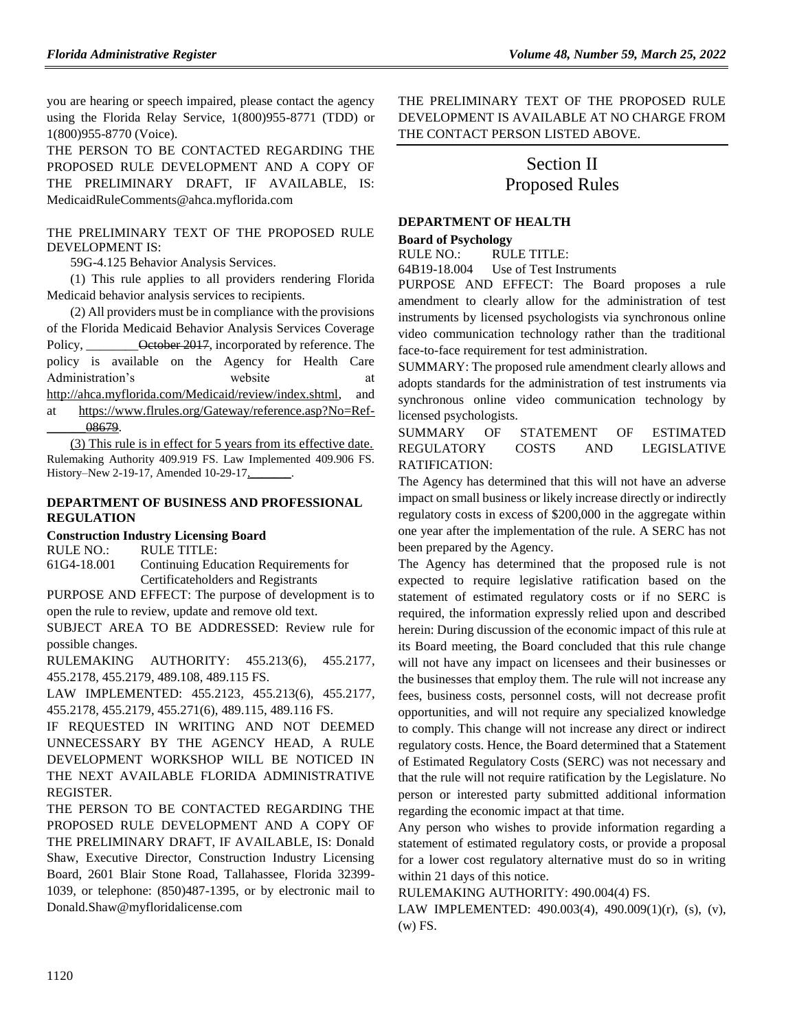you are hearing or speech impaired, please contact the agency using the Florida Relay Service, 1(800)955-8771 (TDD) or 1(800)955-8770 (Voice).

THE PERSON TO BE CONTACTED REGARDING THE PROPOSED RULE DEVELOPMENT AND A COPY OF THE PRELIMINARY DRAFT, IF AVAILABLE, IS: MedicaidRuleComments@ahca.myflorida.com

#### THE PRELIMINARY TEXT OF THE PROPOSED RULE DEVELOPMENT IS:

59G-4.125 Behavior Analysis Services.

(1) This rule applies to all providers rendering Florida Medicaid behavior analysis services to recipients.

(2) All providers must be in compliance with the provisions of the Florida Medicaid Behavior Analysis Services Coverage Policy, **October 2017**, incorporated by reference. The policy is available on the Agency for Health Care Administration's website at [http://ahca.myflorida.com/Medicaid/review/index.shtml,](http://ahca.myflorida.com/Medicaid/review/index.shtml) and at [https://www.flrules.org/Gateway/reference.asp?No=Ref-](https://www.flrules.org/Gateway/reference.asp?No=Ref-______08679) [\\_\\_\\_\\_\\_\\_08679.](https://www.flrules.org/Gateway/reference.asp?No=Ref-______08679)

(3) This rule is in effect for 5 years from its effective date. Rulemaking Authority 409.919 FS. Law Implemented 409.906 FS. History–New 2-19-17, Amended 10-29-17,

#### **[DEPARTMENT OF BUSINESS AND PROFESSIONAL](https://www.flrules.org/gateway/department.asp?id=61)  [REGULATION](https://www.flrules.org/gateway/department.asp?id=61)**

**[Construction Industry Licensing Board](https://www.flrules.org/gateway/organization.asp?id=274)**

RULE NO.: RULE TITLE:

[61G4-18.001](https://www.flrules.org/gateway/ruleNo.asp?id=61G4-18.001) Continuing Education Requirements for Certificateholders and Registrants

PURPOSE AND EFFECT: The purpose of development is to open the rule to review, update and remove old text.

SUBJECT AREA TO BE ADDRESSED: Review rule for possible changes.

RULEMAKING AUTHORITY: [455.213\(6\),](https://www.flrules.org/gateway/statute.asp?id=455.213(6)) [455.2177,](https://www.flrules.org/gateway/statute.asp?id=%20455.2177) [455.2178,](https://www.flrules.org/gateway/statute.asp?id=%20455.2178) [455.2179,](https://www.flrules.org/gateway/statute.asp?id=%20455.2179) [489.108,](https://www.flrules.org/gateway/statute.asp?id=%20489.108) [489.115 FS.](https://www.flrules.org/gateway/statute.asp?id=%20489.115%20FS.)

LAW IMPLEMENTED: [455.2123,](https://www.flrules.org/gateway/statute.asp?id=455.2123) [455.213\(6\),](https://www.flrules.org/gateway/statute.asp?id=%20455.213(6)) [455.2177,](https://www.flrules.org/gateway/statute.asp?id=%20455.2177) [455.2178,](https://www.flrules.org/gateway/statute.asp?id=%20455.2178) [455.2179,](https://www.flrules.org/gateway/statute.asp?id=%20455.2179) [455.271\(6\),](https://www.flrules.org/gateway/statute.asp?id=%20455.271(6)) [489.115,](https://www.flrules.org/gateway/statute.asp?id=%20489.115) [489.116 FS.](https://www.flrules.org/gateway/statute.asp?id=%20489.116%20FS.)

IF REQUESTED IN WRITING AND NOT DEEMED UNNECESSARY BY THE AGENCY HEAD, A RULE DEVELOPMENT WORKSHOP WILL BE NOTICED IN THE NEXT AVAILABLE FLORIDA ADMINISTRATIVE REGISTER.

THE PERSON TO BE CONTACTED REGARDING THE PROPOSED RULE DEVELOPMENT AND A COPY OF THE PRELIMINARY DRAFT, IF AVAILABLE, IS: Donald Shaw, Executive Director, Construction Industry Licensing Board, 2601 Blair Stone Road, Tallahassee, Florida 32399- 1039, or telephone: (850)487-1395, or by electronic mail to Donald.Shaw@myfloridalicense.com

THE PRELIMINARY TEXT OF THE PROPOSED RULE DEVELOPMENT IS AVAILABLE AT NO CHARGE FROM THE CONTACT PERSON LISTED ABOVE.

# Section II Proposed Rules

### **[DEPARTMENT OF HEALTH](https://www.flrules.org/gateway/department.asp?id=64)**

**[Board of Psychology](https://www.flrules.org/gateway/organization.asp?id=310)**

RULE NO.: RULE TITLE:

[64B19-18.004](https://www.flrules.org/gateway/ruleNo.asp?id=64B19-18.004) Use of Test Instruments

PURPOSE AND EFFECT: The Board proposes a rule amendment to clearly allow for the administration of test instruments by licensed psychologists via synchronous online video communication technology rather than the traditional face-to-face requirement for test administration.

SUMMARY: The proposed rule amendment clearly allows and adopts standards for the administration of test instruments via synchronous online video communication technology by licensed psychologists.

### SUMMARY OF STATEMENT OF ESTIMATED REGULATORY COSTS AND LEGISLATIVE RATIFICATION:

The Agency has determined that this will not have an adverse impact on small business or likely increase directly or indirectly regulatory costs in excess of \$200,000 in the aggregate within one year after the implementation of the rule. A SERC has not been prepared by the Agency.

The Agency has determined that the proposed rule is not expected to require legislative ratification based on the statement of estimated regulatory costs or if no SERC is required, the information expressly relied upon and described herein: During discussion of the economic impact of this rule at its Board meeting, the Board concluded that this rule change will not have any impact on licensees and their businesses or the businesses that employ them. The rule will not increase any fees, business costs, personnel costs, will not decrease profit opportunities, and will not require any specialized knowledge to comply. This change will not increase any direct or indirect regulatory costs. Hence, the Board determined that a Statement of Estimated Regulatory Costs (SERC) was not necessary and that the rule will not require ratification by the Legislature. No person or interested party submitted additional information regarding the economic impact at that time.

Any person who wishes to provide information regarding a statement of estimated regulatory costs, or provide a proposal for a lower cost regulatory alternative must do so in writing within 21 days of this notice.

RULEMAKING AUTHORITY: [490.004\(4\) FS.](https://www.flrules.org/gateway/statute.asp?id=490.004(4)%20FS.)

LAW IMPLEMENTED: [490.003\(4\),](https://www.flrules.org/gateway/statute.asp?id=490.003(4)) [490.009\(1\)\(r\),](https://www.flrules.org/gateway/statute.asp?id=%20490.009(1)(r)) (s), (v), (w) FS.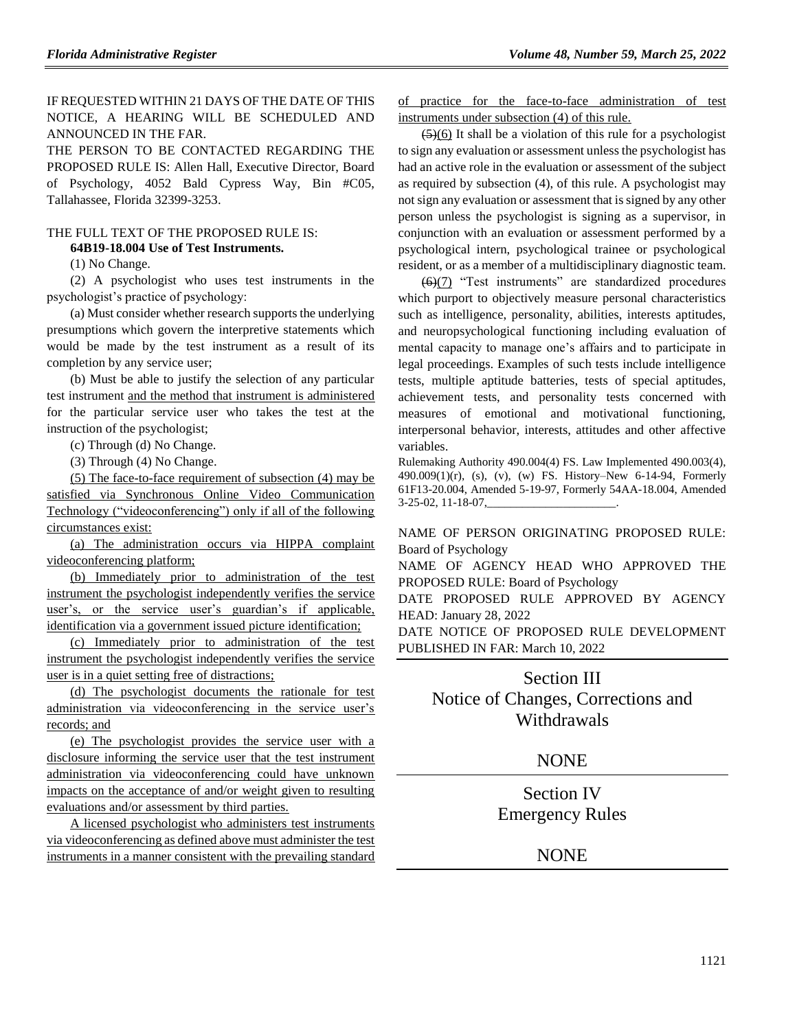IF REQUESTED WITHIN 21 DAYS OF THE DATE OF THIS NOTICE, A HEARING WILL BE SCHEDULED AND ANNOUNCED IN THE FAR.

THE PERSON TO BE CONTACTED REGARDING THE PROPOSED RULE IS: Allen Hall, Executive Director, Board of Psychology, 4052 Bald Cypress Way, Bin #C05, Tallahassee, Florida 32399-3253.

## THE FULL TEXT OF THE PROPOSED RULE IS:

## **64B19-18.004 Use of Test Instruments.**

(1) No Change.

(2) A psychologist who uses test instruments in the psychologist's practice of psychology:

(a) Must consider whether research supports the underlying presumptions which govern the interpretive statements which would be made by the test instrument as a result of its completion by any service user;

(b) Must be able to justify the selection of any particular test instrument and the method that instrument is administered for the particular service user who takes the test at the instruction of the psychologist;

(c) Through (d) No Change.

(3) Through (4) No Change.

(5) The face-to-face requirement of subsection (4) may be satisfied via Synchronous Online Video Communication Technology ("videoconferencing") only if all of the following circumstances exist:

(a) The administration occurs via HIPPA complaint videoconferencing platform;

(b) Immediately prior to administration of the test instrument the psychologist independently verifies the service user's, or the service user's guardian's if applicable, identification via a government issued picture identification;

(c) Immediately prior to administration of the test instrument the psychologist independently verifies the service user is in a quiet setting free of distractions;

(d) The psychologist documents the rationale for test administration via videoconferencing in the service user's records; and

(e) The psychologist provides the service user with a disclosure informing the service user that the test instrument administration via videoconferencing could have unknown impacts on the acceptance of and/or weight given to resulting evaluations and/or assessment by third parties.

A licensed psychologist who administers test instruments via videoconferencing as defined above must administer the test instruments in a manner consistent with the prevailing standard of practice for the face-to-face administration of test instruments under subsection (4) of this rule.

 $\left(5\right)$ (6) It shall be a violation of this rule for a psychologist to sign any evaluation or assessment unless the psychologist has had an active role in the evaluation or assessment of the subject as required by subsection (4), of this rule. A psychologist may not sign any evaluation or assessment that is signed by any other person unless the psychologist is signing as a supervisor, in conjunction with an evaluation or assessment performed by a psychological intern, psychological trainee or psychological resident, or as a member of a multidisciplinary diagnostic team.

(6)(7) "Test instruments" are standardized procedures which purport to objectively measure personal characteristics such as intelligence, personality, abilities, interests aptitudes, and neuropsychological functioning including evaluation of mental capacity to manage one's affairs and to participate in legal proceedings. Examples of such tests include intelligence tests, multiple aptitude batteries, tests of special aptitudes, achievement tests, and personality tests concerned with measures of emotional and motivational functioning, interpersonal behavior, interests, attitudes and other affective variables.

Rulemaking Authority 490.004(4) FS. Law Implemented 490.003(4), 490.009(1)(r), (s), (v), (w) FS. History–New 6-14-94, Formerly 61F13-20.004, Amended 5-19-97, Formerly 54AA-18.004, Amended 3-25-02, 11-18-07,

NAME OF PERSON ORIGINATING PROPOSED RULE: Board of Psychology

NAME OF AGENCY HEAD WHO APPROVED THE PROPOSED RULE: Board of Psychology

DATE PROPOSED RULE APPROVED BY AGENCY HEAD: January 28, 2022

DATE NOTICE OF PROPOSED RULE DEVELOPMENT PUBLISHED IN FAR: March 10, 2022

## Section III Notice of Changes, Corrections and Withdrawals

## **NONE**

Section IV Emergency Rules

**NONE**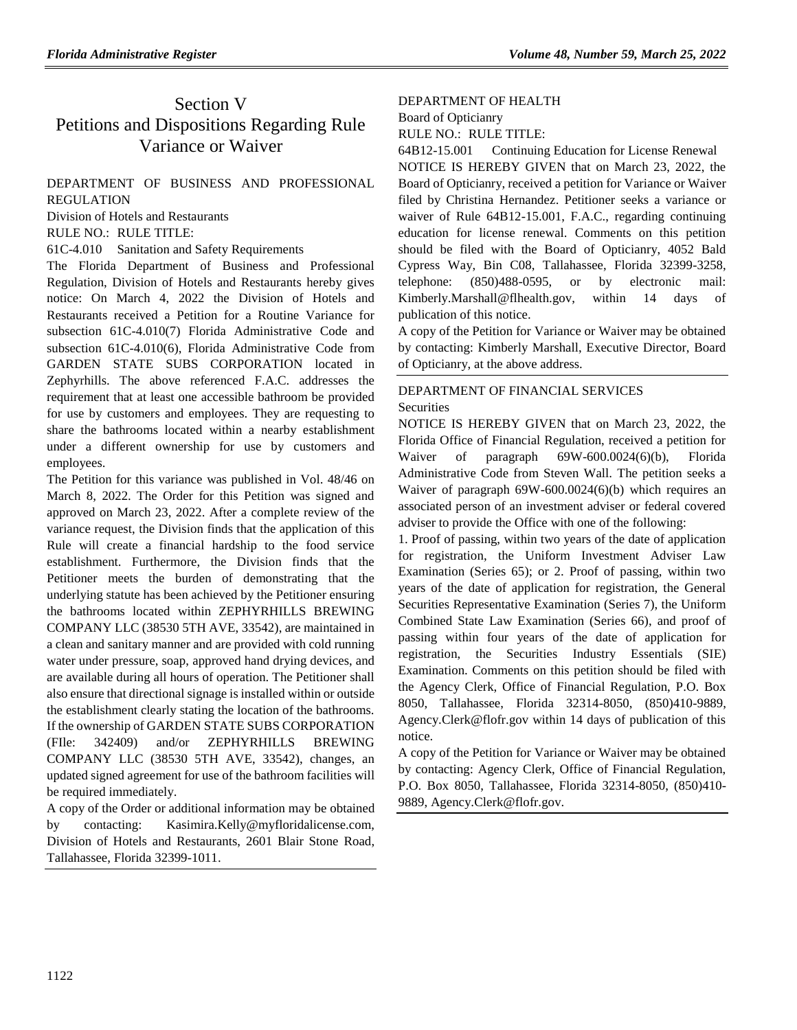## Section V Petitions and Dispositions Regarding Rule Variance or Waiver

### [DEPARTMENT OF BUSINESS AND PROFESSIONAL](https://www.flrules.org/gateway/department.asp?id=61)  [REGULATION](https://www.flrules.org/gateway/department.asp?id=61)

[Division of Hotels and Restaurants](https://www.flrules.org/gateway/organization.asp?id=249)

#### RULE NO.: RULE TITLE:

[61C-4.010](https://www.flrules.org/gateway/ruleNo.asp?id=61C-4.010) Sanitation and Safety Requirements

The Florida Department of Business and Professional Regulation, Division of Hotels and Restaurants hereby gives notice: On March 4, 2022 the Division of Hotels and Restaurants received a Petition for a Routine Variance for subsection 61C-4.010(7) Florida Administrative Code and subsection 61C-4.010(6), Florida Administrative Code from GARDEN STATE SUBS CORPORATION located in Zephyrhills. The above referenced F.A.C. addresses the requirement that at least one accessible bathroom be provided for use by customers and employees. They are requesting to share the bathrooms located within a nearby establishment under a different ownership for use by customers and employees.

The Petition for this variance was published in Vol. 48/46 on March 8, 2022. The Order for this Petition was signed and approved on March 23, 2022. After a complete review of the variance request, the Division finds that the application of this Rule will create a financial hardship to the food service establishment. Furthermore, the Division finds that the Petitioner meets the burden of demonstrating that the underlying statute has been achieved by the Petitioner ensuring the bathrooms located within ZEPHYRHILLS BREWING COMPANY LLC (38530 5TH AVE, 33542), are maintained in a clean and sanitary manner and are provided with cold running water under pressure, soap, approved hand drying devices, and are available during all hours of operation. The Petitioner shall also ensure that directional signage is installed within or outside the establishment clearly stating the location of the bathrooms. If the ownership of GARDEN STATE SUBS CORPORATION (FIle: 342409) and/or ZEPHYRHILLS BREWING COMPANY LLC (38530 5TH AVE, 33542), changes, an updated signed agreement for use of the bathroom facilities will be required immediately.

A copy of the Order or additional information may be obtained by contacting: Kasimira.Kelly@myfloridalicense.com, Division of Hotels and Restaurants, 2601 Blair Stone Road, Tallahassee, Florida 32399-1011.

#### [DEPARTMENT OF HEALTH](https://www.flrules.org/gateway/department.asp?id=64)

#### [Board of Opticianry](https://www.flrules.org/gateway/organization.asp?id=303)

RULE NO.: RULE TITLE:

[64B12-15.001](https://www.flrules.org/gateway/ruleNo.asp?id=64B12-15.001) Continuing Education for License Renewal NOTICE IS HEREBY GIVEN that on March 23, 2022, the Board of Opticianry, received a petition for Variance or Waiver filed by Christina Hernandez. Petitioner seeks a variance or waiver of Rule 64B12-15.001, F.A.C., regarding continuing education for license renewal. Comments on this petition should be filed with the Board of Opticianry, 4052 Bald Cypress Way, Bin C08, Tallahassee, Florida 32399-3258, telephone: (850)488-0595, or by electronic mail: Kimberly.Marshall@flhealth.gov, within 14 days of publication of this notice.

A copy of the Petition for Variance or Waiver may be obtained by contacting: Kimberly Marshall, Executive Director, Board of Opticianry, at the above address.

### [DEPARTMENT OF FINANCIAL SERVICES](https://www.flrules.org/gateway/department.asp?id=69) **[Securities](https://www.flrules.org/gateway/organization.asp?id=525)**

NOTICE IS HEREBY GIVEN that on March 23, 2022, the Florida Office of Financial Regulation, received a petition for Waiver of paragraph 69W-600.0024(6)(b), Florida Administrative Code from Steven Wall. The petition seeks a Waiver of paragraph 69W-600.0024(6)(b) which requires an associated person of an investment adviser or federal covered adviser to provide the Office with one of the following:

1. Proof of passing, within two years of the date of application for registration, the Uniform Investment Adviser Law Examination (Series 65); or 2. Proof of passing, within two years of the date of application for registration, the General Securities Representative Examination (Series 7), the Uniform Combined State Law Examination (Series 66), and proof of passing within four years of the date of application for registration, the Securities Industry Essentials (SIE) Examination. Comments on this petition should be filed with the Agency Clerk, Office of Financial Regulation, P.O. Box 8050, Tallahassee, Florida 32314-8050, (850)410-9889, Agency.Clerk@flofr.gov within 14 days of publication of this notice.

A copy of the Petition for Variance or Waiver may be obtained by contacting: Agency Clerk, Office of Financial Regulation, P.O. Box 8050, Tallahassee, Florida 32314-8050, (850)410- 9889, Agency.Clerk@flofr.gov.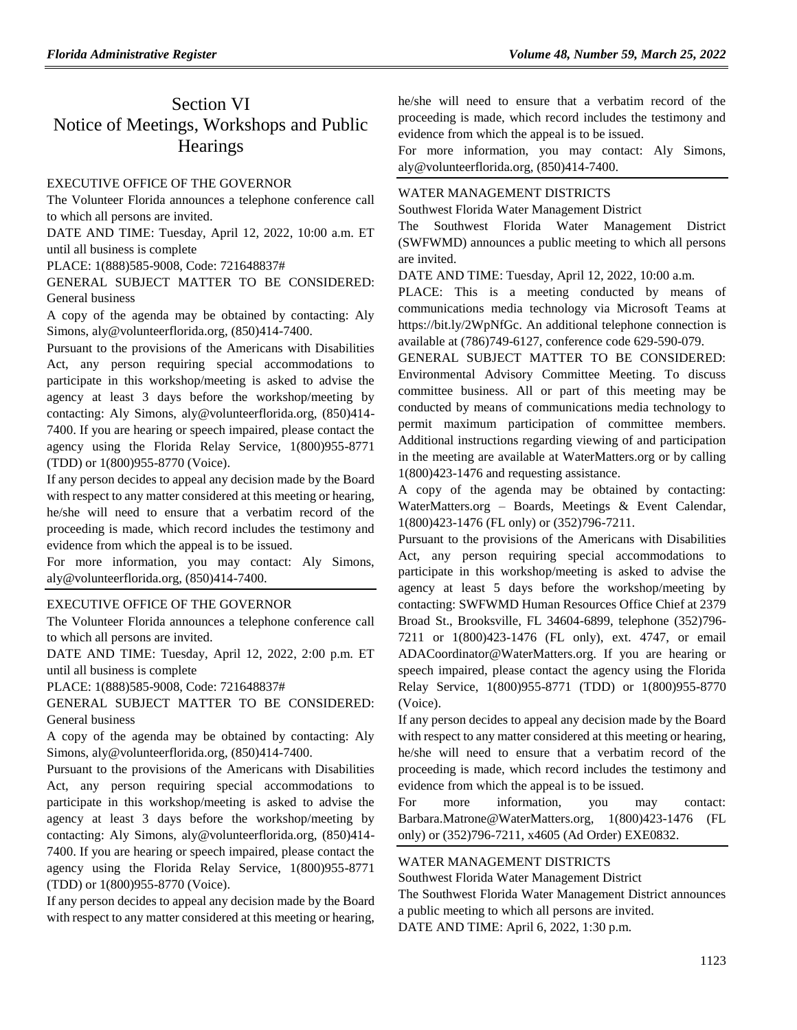## Section VI Notice of Meetings, Workshops and Public **Hearings**

#### [EXECUTIVE OFFICE OF THE GOVERNOR](https://www.flrules.org/gateway/department.asp?id=27)

The Volunteer Florida announces a telephone conference call to which all persons are invited.

DATE AND TIME: Tuesday, April 12, 2022, 10:00 a.m. ET until all business is complete

PLACE: 1(888)585-9008, Code: 721648837#

GENERAL SUBJECT MATTER TO BE CONSIDERED: General business

A copy of the agenda may be obtained by contacting: Aly Simons, aly@volunteerflorida.org, (850)414-7400.

Pursuant to the provisions of the Americans with Disabilities Act, any person requiring special accommodations to participate in this workshop/meeting is asked to advise the agency at least 3 days before the workshop/meeting by contacting: Aly Simons, aly@volunteerflorida.org, (850)414- 7400. If you are hearing or speech impaired, please contact the agency using the Florida Relay Service, 1(800)955-8771 (TDD) or 1(800)955-8770 (Voice).

If any person decides to appeal any decision made by the Board with respect to any matter considered at this meeting or hearing, he/she will need to ensure that a verbatim record of the proceeding is made, which record includes the testimony and evidence from which the appeal is to be issued.

For more information, you may contact: Aly Simons, aly@volunteerflorida.org, (850)414-7400.

#### [EXECUTIVE OFFICE OF THE GOVERNOR](https://www.flrules.org/gateway/department.asp?id=27)

The Volunteer Florida announces a telephone conference call to which all persons are invited.

DATE AND TIME: Tuesday, April 12, 2022, 2:00 p.m. ET until all business is complete

PLACE: 1(888)585-9008, Code: 721648837#

GENERAL SUBJECT MATTER TO BE CONSIDERED: General business

A copy of the agenda may be obtained by contacting: Aly Simons, aly@volunteerflorida.org, (850)414-7400.

Pursuant to the provisions of the Americans with Disabilities Act, any person requiring special accommodations to participate in this workshop/meeting is asked to advise the agency at least 3 days before the workshop/meeting by contacting: Aly Simons, aly@volunteerflorida.org, (850)414- 7400. If you are hearing or speech impaired, please contact the agency using the Florida Relay Service, 1(800)955-8771 (TDD) or 1(800)955-8770 (Voice).

If any person decides to appeal any decision made by the Board with respect to any matter considered at this meeting or hearing,

he/she will need to ensure that a verbatim record of the proceeding is made, which record includes the testimony and evidence from which the appeal is to be issued.

For more information, you may contact: Aly Simons, aly@volunteerflorida.org, (850)414-7400.

#### [WATER MANAGEMENT DISTRICTS](https://www.flrules.org/gateway/department.asp?id=40)

[Southwest Florida Water Management District](https://www.flrules.org/gateway/organization.asp?id=123)

The Southwest Florida Water Management District (SWFWMD) announces a public meeting to which all persons are invited.

DATE AND TIME: Tuesday, April 12, 2022, 10:00 a.m.

PLACE: This is a meeting conducted by means of communications media technology via Microsoft Teams at https://bit.ly/2WpNfGc. An additional telephone connection is available at (786)749-6127, conference code 629-590-079.

GENERAL SUBJECT MATTER TO BE CONSIDERED: Environmental Advisory Committee Meeting. To discuss committee business. All or part of this meeting may be conducted by means of communications media technology to permit maximum participation of committee members. Additional instructions regarding viewing of and participation in the meeting are available at WaterMatters.org or by calling 1(800)423-1476 and requesting assistance.

A copy of the agenda may be obtained by contacting: WaterMatters.org – Boards, Meetings & Event Calendar, 1(800)423-1476 (FL only) or (352)796-7211.

Pursuant to the provisions of the Americans with Disabilities Act, any person requiring special accommodations to participate in this workshop/meeting is asked to advise the agency at least 5 days before the workshop/meeting by contacting: SWFWMD Human Resources Office Chief at 2379 Broad St., Brooksville, FL 34604-6899, telephone (352)796- 7211 or 1(800)423-1476 (FL only), ext. 4747, or email ADACoordinator@WaterMatters.org. If you are hearing or speech impaired, please contact the agency using the Florida Relay Service, 1(800)955-8771 (TDD) or 1(800)955-8770 (Voice).

If any person decides to appeal any decision made by the Board with respect to any matter considered at this meeting or hearing, he/she will need to ensure that a verbatim record of the proceeding is made, which record includes the testimony and evidence from which the appeal is to be issued.

For more information, you may contact: Barbara.Matrone@WaterMatters.org, 1(800)423-1476 (FL only) or (352)796-7211, x4605 (Ad Order) EXE0832.

#### [WATER MANAGEMENT DISTRICTS](https://www.flrules.org/gateway/department.asp?id=40)

[Southwest Florida Water Management District](https://www.flrules.org/gateway/organization.asp?id=123) The Southwest Florida Water Management District announces a public meeting to which all persons are invited. DATE AND TIME: April 6, 2022, 1:30 p.m.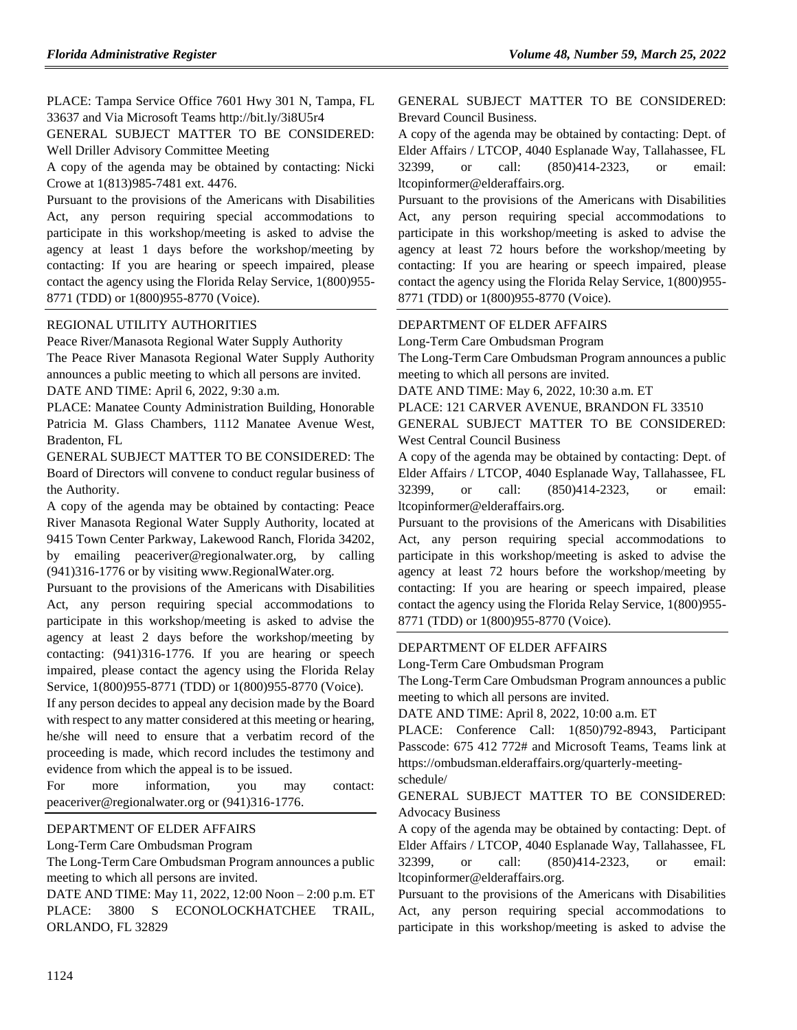PLACE: Tampa Service Office 7601 Hwy 301 N, Tampa, FL 33637 and Via Microsoft Teams http://bit.ly/3i8U5r4

GENERAL SUBJECT MATTER TO BE CONSIDERED: Well Driller Advisory Committee Meeting

A copy of the agenda may be obtained by contacting: Nicki Crowe at 1(813)985-7481 ext. 4476.

Pursuant to the provisions of the Americans with Disabilities Act, any person requiring special accommodations to participate in this workshop/meeting is asked to advise the agency at least 1 days before the workshop/meeting by contacting: If you are hearing or speech impaired, please contact the agency using the Florida Relay Service, 1(800)955- 8771 (TDD) or 1(800)955-8770 (Voice).

### [REGIONAL UTILITY AUTHORITIES](https://www.flrules.org/gateway/department.asp?id=49)

[Peace River/Manasota Regional Water Supply Authority](https://www.flrules.org/gateway/organization.asp?id=160) The Peace River Manasota Regional Water Supply Authority announces a public meeting to which all persons are invited. DATE AND TIME: April 6, 2022, 9:30 a.m.

PLACE: Manatee County Administration Building, Honorable Patricia M. Glass Chambers, 1112 Manatee Avenue West, Bradenton, FL

GENERAL SUBJECT MATTER TO BE CONSIDERED: The Board of Directors will convene to conduct regular business of the Authority.

A copy of the agenda may be obtained by contacting: Peace River Manasota Regional Water Supply Authority, located at 9415 Town Center Parkway, Lakewood Ranch, Florida 34202, by emailing peaceriver@regionalwater.org, by calling (941)316-1776 or by visiting www.RegionalWater.org.

Pursuant to the provisions of the Americans with Disabilities Act, any person requiring special accommodations to participate in this workshop/meeting is asked to advise the agency at least 2 days before the workshop/meeting by contacting: (941)316-1776. If you are hearing or speech impaired, please contact the agency using the Florida Relay Service, 1(800)955-8771 (TDD) or 1(800)955-8770 (Voice).

If any person decides to appeal any decision made by the Board with respect to any matter considered at this meeting or hearing, he/she will need to ensure that a verbatim record of the proceeding is made, which record includes the testimony and evidence from which the appeal is to be issued.

For more information, you may contact: peaceriver@regionalwater.org or (941)316-1776.

#### [DEPARTMENT OF ELDER AFFAIRS](https://www.flrules.org/gateway/department.asp?id=58)

[Long-Term Care Ombudsman Program](https://www.flrules.org/gateway/organization.asp?id=184)

The Long-Term Care Ombudsman Program announces a public meeting to which all persons are invited.

DATE AND TIME: May 11, 2022, 12:00 Noon – 2:00 p.m. ET PLACE: 3800 S ECONOLOCKHATCHEE TRAIL, ORLANDO, FL 32829

GENERAL SUBJECT MATTER TO BE CONSIDERED: Brevard Council Business.

A copy of the agenda may be obtained by contacting: Dept. of Elder Affairs / LTCOP, 4040 Esplanade Way, Tallahassee, FL 32399, or call: (850)414-2323, or email: ltcopinformer@elderaffairs.org.

Pursuant to the provisions of the Americans with Disabilities Act, any person requiring special accommodations to participate in this workshop/meeting is asked to advise the agency at least 72 hours before the workshop/meeting by contacting: If you are hearing or speech impaired, please contact the agency using the Florida Relay Service, 1(800)955- 8771 (TDD) or 1(800)955-8770 (Voice).

### [DEPARTMENT OF ELDER AFFAIRS](https://www.flrules.org/gateway/department.asp?id=58)

[Long-Term Care Ombudsman Program](https://www.flrules.org/gateway/organization.asp?id=184)

The Long-Term Care Ombudsman Program announces a public meeting to which all persons are invited.

DATE AND TIME: May 6, 2022, 10:30 a.m. ET

PLACE: 121 CARVER AVENUE, BRANDON FL 33510

GENERAL SUBJECT MATTER TO BE CONSIDERED: West Central Council Business

A copy of the agenda may be obtained by contacting: Dept. of Elder Affairs / LTCOP, 4040 Esplanade Way, Tallahassee, FL 32399, or call: (850)414-2323, or email: ltcopinformer@elderaffairs.org.

Pursuant to the provisions of the Americans with Disabilities Act, any person requiring special accommodations to participate in this workshop/meeting is asked to advise the agency at least 72 hours before the workshop/meeting by contacting: If you are hearing or speech impaired, please contact the agency using the Florida Relay Service, 1(800)955- 8771 (TDD) or 1(800)955-8770 (Voice).

#### [DEPARTMENT OF ELDER AFFAIRS](https://www.flrules.org/gateway/department.asp?id=58)

[Long-Term Care Ombudsman Program](https://www.flrules.org/gateway/organization.asp?id=184)

The Long-Term Care Ombudsman Program announces a public meeting to which all persons are invited.

DATE AND TIME: April 8, 2022, 10:00 a.m. ET

PLACE: Conference Call: 1(850)792-8943, Participant Passcode: 675 412 772# and Microsoft Teams, Teams link at https://ombudsman.elderaffairs.org/quarterly-meetingschedule/

GENERAL SUBJECT MATTER TO BE CONSIDERED: Advocacy Business

A copy of the agenda may be obtained by contacting: Dept. of Elder Affairs / LTCOP, 4040 Esplanade Way, Tallahassee, FL 32399, or call: (850)414-2323, or email: ltcopinformer@elderaffairs.org.

Pursuant to the provisions of the Americans with Disabilities Act, any person requiring special accommodations to participate in this workshop/meeting is asked to advise the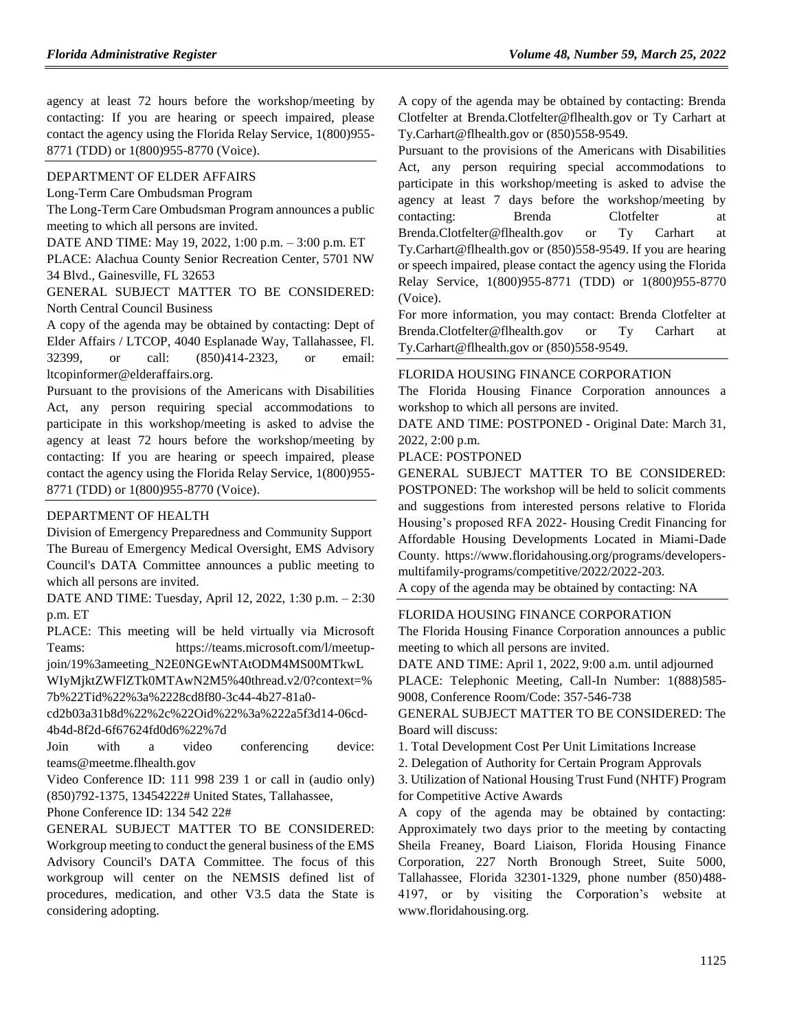agency at least 72 hours before the workshop/meeting by contacting: If you are hearing or speech impaired, please contact the agency using the Florida Relay Service, 1(800)955- 8771 (TDD) or 1(800)955-8770 (Voice).

#### [DEPARTMENT OF ELDER AFFAIRS](https://www.flrules.org/gateway/department.asp?id=58)

[Long-Term Care Ombudsman Program](https://www.flrules.org/gateway/organization.asp?id=184)

The Long-Term Care Ombudsman Program announces a public meeting to which all persons are invited.

DATE AND TIME: May 19, 2022, 1:00 p.m. – 3:00 p.m. ET

PLACE: Alachua County Senior Recreation Center, 5701 NW 34 Blvd., Gainesville, FL 32653

GENERAL SUBJECT MATTER TO BE CONSIDERED: North Central Council Business

A copy of the agenda may be obtained by contacting: Dept of Elder Affairs / LTCOP, 4040 Esplanade Way, Tallahassee, Fl. 32399, or call: (850)414-2323, or email: ltcopinformer@elderaffairs.org.

Pursuant to the provisions of the Americans with Disabilities Act, any person requiring special accommodations to participate in this workshop/meeting is asked to advise the agency at least 72 hours before the workshop/meeting by contacting: If you are hearing or speech impaired, please contact the agency using the Florida Relay Service, 1(800)955- 8771 (TDD) or 1(800)955-8770 (Voice).

#### [DEPARTMENT OF HEALTH](https://www.flrules.org/gateway/department.asp?id=64)

[Division of Emergency Preparedness and Community Support](https://www.flrules.org/gateway/organization.asp?id=832) The Bureau of Emergency Medical Oversight, EMS Advisory Council's DATA Committee announces a public meeting to which all persons are invited.

DATE AND TIME: Tuesday, April 12, 2022, 1:30 p.m. – 2:30 p.m. ET

PLACE: This meeting will be held virtually via Microsoft Teams: https://teams.microsoft.com/l/meetup-

join/19%3ameeting\_N2E0NGEwNTAtODM4MS00MTkwL WIyMjktZWFlZTk0MTAwN2M5%40thread.v2/0?context=%

7b%22Tid%22%3a%2228cd8f80-3c44-4b27-81a0-

cd2b03a31b8d%22%2c%22Oid%22%3a%222a5f3d14-06cd-4b4d-8f2d-6f67624fd0d6%22%7d

Join with a video conferencing device: teams@meetme.flhealth.gov

Video Conference ID: 111 998 239 1 or call in (audio only) (850)792-1375, 13454222# United States, Tallahassee,

Phone Conference ID: 134 542 22#

GENERAL SUBJECT MATTER TO BE CONSIDERED: Workgroup meeting to conduct the general business of the EMS Advisory Council's DATA Committee. The focus of this workgroup will center on the NEMSIS defined list of procedures, medication, and other V3.5 data the State is considering adopting.

A copy of the agenda may be obtained by contacting: Brenda Clotfelter at Brenda.Clotfelter@flhealth.gov or Ty Carhart at Ty.Carhart@flhealth.gov or (850)558-9549.

Pursuant to the provisions of the Americans with Disabilities Act, any person requiring special accommodations to participate in this workshop/meeting is asked to advise the agency at least 7 days before the workshop/meeting by contacting: Brenda Clotfelter at Brenda.Clotfelter@flhealth.gov or Ty Carhart at Ty.Carhart@flhealth.gov or (850)558-9549. If you are hearing or speech impaired, please contact the agency using the Florida Relay Service, 1(800)955-8771 (TDD) or 1(800)955-8770 (Voice).

For more information, you may contact: Brenda Clotfelter at Brenda.Clotfelter@flhealth.gov or Ty Carhart at Ty.Carhart@flhealth.gov or (850)558-9549.

#### [FLORIDA HOUSING FINANCE CORPORATION](https://www.flrules.org/gateway/department.asp?id=67)

The Florida Housing Finance Corporation announces a workshop to which all persons are invited.

DATE AND TIME: POSTPONED - Original Date: March 31, 2022, 2:00 p.m.

PLACE: POSTPONED

GENERAL SUBJECT MATTER TO BE CONSIDERED: POSTPONED: The workshop will be held to solicit comments and suggestions from interested persons relative to Florida Housing's proposed RFA 2022- Housing Credit Financing for Affordable Housing Developments Located in Miami-Dade County. https://www.floridahousing.org/programs/developersmultifamily-programs/competitive/2022/2022-203.

A copy of the agenda may be obtained by contacting: NA

#### [FLORIDA HOUSING FINANCE CORPORATION](https://www.flrules.org/gateway/department.asp?id=67)

The Florida Housing Finance Corporation announces a public meeting to which all persons are invited.

DATE AND TIME: April 1, 2022, 9:00 a.m. until adjourned PLACE: Telephonic Meeting, Call-In Number: 1(888)585- 9008, Conference Room/Code: 357-546-738

GENERAL SUBJECT MATTER TO BE CONSIDERED: The Board will discuss:

1. Total Development Cost Per Unit Limitations Increase

2. Delegation of Authority for Certain Program Approvals

3. Utilization of National Housing Trust Fund (NHTF) Program for Competitive Active Awards

A copy of the agenda may be obtained by contacting: Approximately two days prior to the meeting by contacting Sheila Freaney, Board Liaison, Florida Housing Finance Corporation, 227 North Bronough Street, Suite 5000, Tallahassee, Florida 32301-1329, phone number (850)488- 4197, or by visiting the Corporation's website at www.floridahousing.org.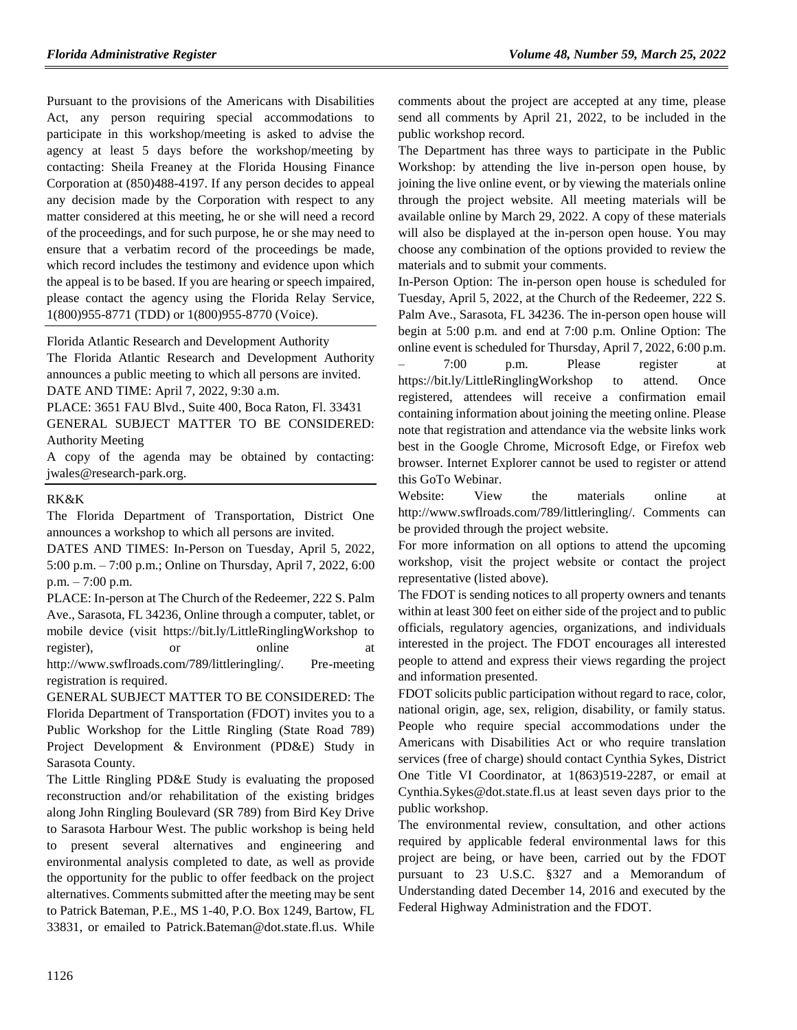Pursuant to the provisions of the Americans with Disabilities Act, any person requiring special accommodations to participate in this workshop/meeting is asked to advise the agency at least 5 days before the workshop/meeting by contacting: Sheila Freaney at the Florida Housing Finance Corporation at (850)488-4197. If any person decides to appeal any decision made by the Corporation with respect to any matter considered at this meeting, he or she will need a record of the proceedings, and for such purpose, he or she may need to ensure that a verbatim record of the proceedings be made, which record includes the testimony and evidence upon which the appeal is to be based. If you are hearing or speech impaired, please contact the agency using the Florida Relay Service, 1(800)955-8771 (TDD) or 1(800)955-8770 (Voice).

[Florida Atlantic Research and Development Authority](https://www.flrules.org/gateway/organization.asp?id=576) The Florida Atlantic Research and Development Authority announces a public meeting to which all persons are invited.

DATE AND TIME: April 7, 2022, 9:30 a.m.

PLACE: 3651 FAU Blvd., Suite 400, Boca Raton, Fl. 33431 GENERAL SUBJECT MATTER TO BE CONSIDERED: Authority Meeting

A copy of the agenda may be obtained by contacting: jwales@research-park.org.

#### [RK&K](https://www.flrules.org/gateway/organization.asp?id=1158)

The Florida Department of Transportation, District One announces a workshop to which all persons are invited.

DATES AND TIMES: In-Person on Tuesday, April 5, 2022, 5:00 p.m. – 7:00 p.m.; Online on Thursday, April 7, 2022, 6:00 p.m. – 7:00 p.m.

PLACE: In-person at The Church of the Redeemer, 222 S. Palm Ave., Sarasota, FL 34236, Online through a computer, tablet, or mobile device (visit https://bit.ly/LittleRinglingWorkshop to register), or online at http://www.swflroads.com/789/littleringling/. Pre-meeting registration is required.

GENERAL SUBJECT MATTER TO BE CONSIDERED: The Florida Department of Transportation (FDOT) invites you to a Public Workshop for the Little Ringling (State Road 789) Project Development & Environment (PD&E) Study in Sarasota County.

The Little Ringling PD&E Study is evaluating the proposed reconstruction and/or rehabilitation of the existing bridges along John Ringling Boulevard (SR 789) from Bird Key Drive to Sarasota Harbour West. The public workshop is being held to present several alternatives and engineering and environmental analysis completed to date, as well as provide the opportunity for the public to offer feedback on the project alternatives. Comments submitted after the meeting may be sent to Patrick Bateman, P.E., MS 1-40, P.O. Box 1249, Bartow, FL 33831, or emailed to Patrick.Bateman@dot.state.fl.us. While comments about the project are accepted at any time, please send all comments by April 21, 2022, to be included in the public workshop record.

The Department has three ways to participate in the Public Workshop: by attending the live in-person open house, by joining the live online event, or by viewing the materials online through the project website. All meeting materials will be available online by March 29, 2022. A copy of these materials will also be displayed at the in-person open house. You may choose any combination of the options provided to review the materials and to submit your comments.

In-Person Option: The in-person open house is scheduled for Tuesday, April 5, 2022, at the Church of the Redeemer, 222 S. Palm Ave., Sarasota, FL 34236. The in-person open house will begin at 5:00 p.m. and end at 7:00 p.m. Online Option: The online event is scheduled for Thursday, April 7, 2022, 6:00 p.m. – 7:00 p.m. Please register at https://bit.ly/LittleRinglingWorkshop to attend. Once registered, attendees will receive a confirmation email containing information about joining the meeting online. Please note that registration and attendance via the website links work best in the Google Chrome, Microsoft Edge, or Firefox web browser. Internet Explorer cannot be used to register or attend this GoTo Webinar.

Website: View the materials online at http://www.swflroads.com/789/littleringling/. Comments can be provided through the project website.

For more information on all options to attend the upcoming workshop, visit the project website or contact the project representative (listed above).

The FDOT is sending notices to all property owners and tenants within at least 300 feet on either side of the project and to public officials, regulatory agencies, organizations, and individuals interested in the project. The FDOT encourages all interested people to attend and express their views regarding the project and information presented.

FDOT solicits public participation without regard to race, color, national origin, age, sex, religion, disability, or family status. People who require special accommodations under the Americans with Disabilities Act or who require translation services (free of charge) should contact Cynthia Sykes, District One Title VI Coordinator, at 1(863)519-2287, or email at Cynthia.Sykes@dot.state.fl.us at least seven days prior to the public workshop.

The environmental review, consultation, and other actions required by applicable federal environmental laws for this project are being, or have been, carried out by the FDOT pursuant to 23 U.S.C. §327 and a Memorandum of Understanding dated December 14, 2016 and executed by the Federal Highway Administration and the FDOT.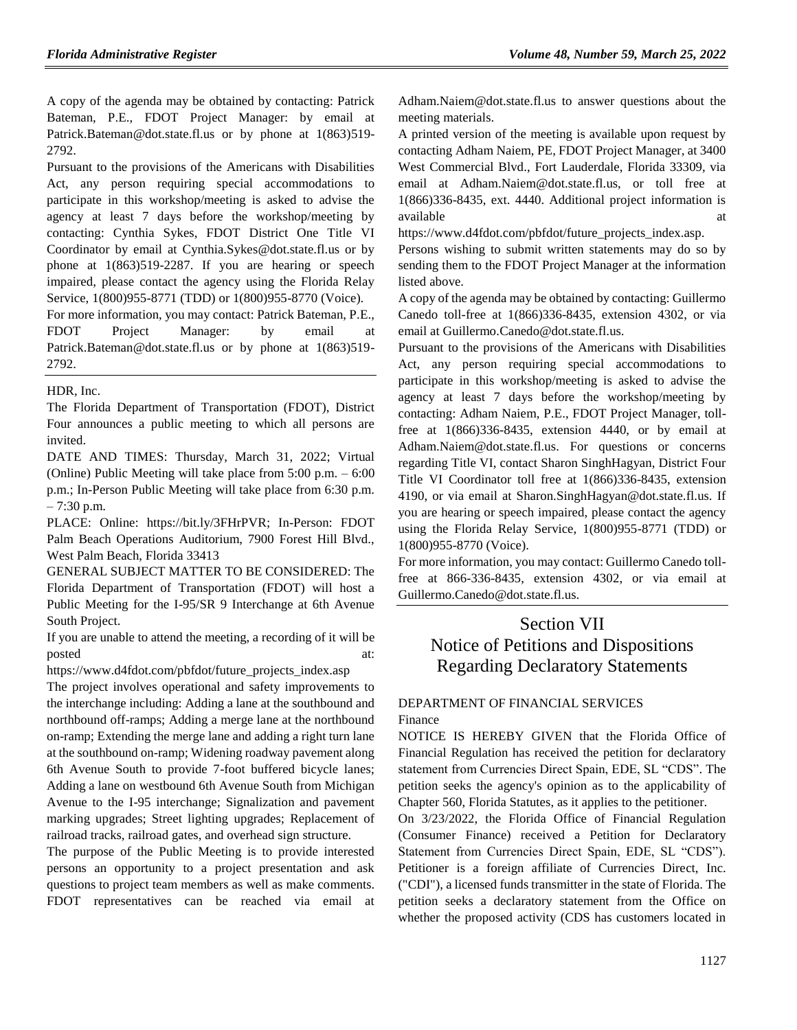A copy of the agenda may be obtained by contacting: Patrick Bateman, P.E., FDOT Project Manager: by email at Patrick.Bateman@dot.state.fl.us or by phone at 1(863)519-2792.

Pursuant to the provisions of the Americans with Disabilities Act, any person requiring special accommodations to participate in this workshop/meeting is asked to advise the agency at least 7 days before the workshop/meeting by contacting: Cynthia Sykes, FDOT District One Title VI Coordinator by email at Cynthia.Sykes@dot.state.fl.us or by phone at 1(863)519-2287. If you are hearing or speech impaired, please contact the agency using the Florida Relay Service, 1(800)955-8771 (TDD) or 1(800)955-8770 (Voice).

For more information, you may contact: Patrick Bateman, P.E., FDOT Project Manager: by email at Patrick.Bateman@dot.state.fl.us or by phone at 1(863)519- 2792.

[HDR, Inc.](https://www.flrules.org/gateway/organization.asp?id=1233)

The Florida Department of Transportation (FDOT), District Four announces a public meeting to which all persons are invited.

DATE AND TIMES: Thursday, March 31, 2022; Virtual (Online) Public Meeting will take place from 5:00 p.m. – 6:00 p.m.; In-Person Public Meeting will take place from 6:30 p.m. – 7:30 p.m.

PLACE: Online: https://bit.ly/3FHrPVR; In-Person: FDOT Palm Beach Operations Auditorium, 7900 Forest Hill Blvd., West Palm Beach, Florida 33413

GENERAL SUBJECT MATTER TO BE CONSIDERED: The Florida Department of Transportation (FDOT) will host a Public Meeting for the I-95/SR 9 Interchange at 6th Avenue South Project.

If you are unable to attend the meeting, a recording of it will be posted at:  $\qquad \qquad \text{at:}$ 

https://www.d4fdot.com/pbfdot/future\_projects\_index.asp

The project involves operational and safety improvements to the interchange including: Adding a lane at the southbound and northbound off-ramps; Adding a merge lane at the northbound on-ramp; Extending the merge lane and adding a right turn lane at the southbound on-ramp; Widening roadway pavement along 6th Avenue South to provide 7-foot buffered bicycle lanes; Adding a lane on westbound 6th Avenue South from Michigan Avenue to the I-95 interchange; Signalization and pavement marking upgrades; Street lighting upgrades; Replacement of railroad tracks, railroad gates, and overhead sign structure.

The purpose of the Public Meeting is to provide interested persons an opportunity to a project presentation and ask questions to project team members as well as make comments. FDOT representatives can be reached via email at Adham.Naiem@dot.state.fl.us to answer questions about the meeting materials.

A printed version of the meeting is available upon request by contacting Adham Naiem, PE, FDOT Project Manager, at 3400 West Commercial Blvd., Fort Lauderdale, Florida 33309, via email at Adham.Naiem@dot.state.fl.us, or toll free at 1(866)336-8435, ext. 4440. Additional project information is available at a state of  $\alpha$  at a state of  $\alpha$  at a state of  $\alpha$  at a state of  $\alpha$  at a state of  $\alpha$  at a state of  $\alpha$  at a state of  $\alpha$  at a state of  $\alpha$  at a state of  $\alpha$  at a state of  $\alpha$  at a state of  $\alpha$  at

https://www.d4fdot.com/pbfdot/future\_projects\_index.asp.

Persons wishing to submit written statements may do so by sending them to the FDOT Project Manager at the information listed above.

A copy of the agenda may be obtained by contacting: Guillermo Canedo toll-free at 1(866)336-8435, extension 4302, or via email at Guillermo.Canedo@dot.state.fl.us.

Pursuant to the provisions of the Americans with Disabilities Act, any person requiring special accommodations to participate in this workshop/meeting is asked to advise the agency at least 7 days before the workshop/meeting by contacting: Adham Naiem, P.E., FDOT Project Manager, tollfree at 1(866)336-8435, extension 4440, or by email at Adham.Naiem@dot.state.fl.us. For questions or concerns regarding Title VI, contact Sharon SinghHagyan, District Four Title VI Coordinator toll free at 1(866)336-8435, extension 4190, or via email at Sharon.SinghHagyan@dot.state.fl.us. If you are hearing or speech impaired, please contact the agency using the Florida Relay Service, 1(800)955-8771 (TDD) or 1(800)955-8770 (Voice).

For more information, you may contact: Guillermo Canedo tollfree at 866-336-8435, extension 4302, or via email at Guillermo.Canedo@dot.state.fl.us.

# Section VII Notice of Petitions and Dispositions Regarding Declaratory Statements

## [DEPARTMENT OF FINANCIAL SERVICES](https://www.flrules.org/gateway/department.asp?id=69) [Finance](https://www.flrules.org/gateway/organization.asp?id=524)

NOTICE IS HEREBY GIVEN that the Florida Office of Financial Regulation has received the petition for declaratory statement from Currencies Direct Spain, EDE, SL "CDS". The petition seeks the agency's opinion as to the applicability of Chapter 560, Florida Statutes, as it applies to the petitioner.

On 3/23/2022, the Florida Office of Financial Regulation (Consumer Finance) received a Petition for Declaratory Statement from Currencies Direct Spain, EDE, SL "CDS"). Petitioner is a foreign affiliate of Currencies Direct, Inc. ("CDI"), a licensed funds transmitter in the state of Florida. The petition seeks a declaratory statement from the Office on whether the proposed activity (CDS has customers located in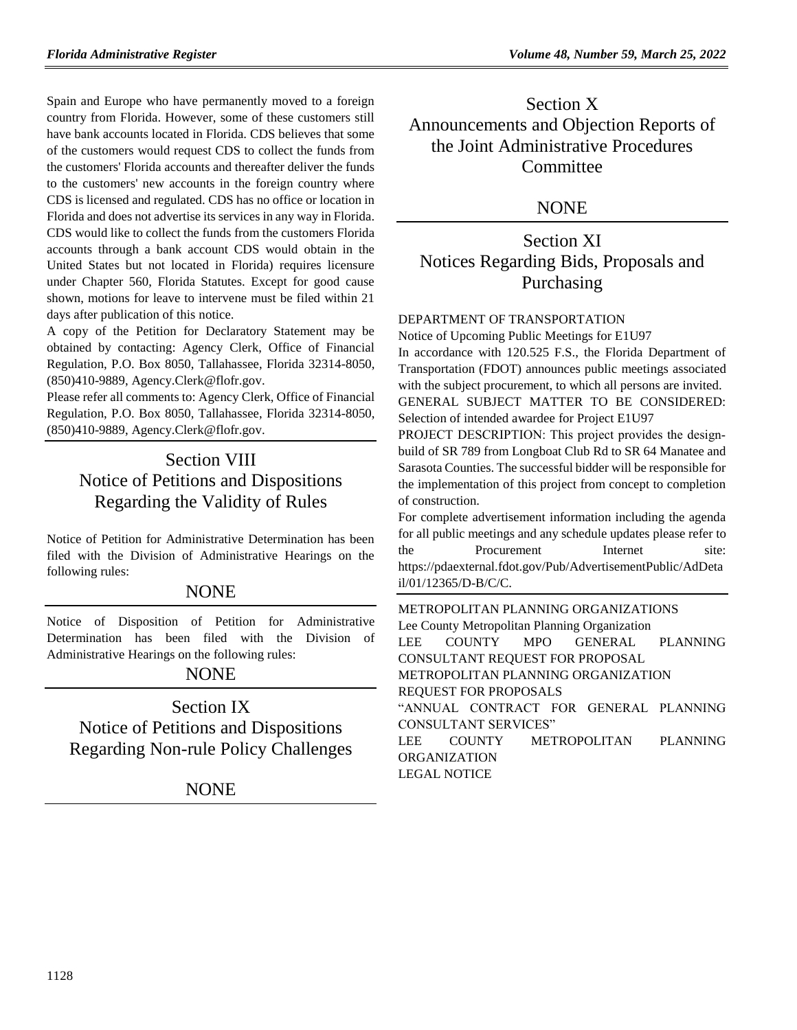Spain and Europe who have permanently moved to a foreign country from Florida. However, some of these customers still have bank accounts located in Florida. CDS believes that some of the customers would request CDS to collect the funds from the customers' Florida accounts and thereafter deliver the funds to the customers' new accounts in the foreign country where CDS is licensed and regulated. CDS has no office or location in Florida and does not advertise its services in any way in Florida. CDS would like to collect the funds from the customers Florida accounts through a bank account CDS would obtain in the United States but not located in Florida) requires licensure under Chapter 560, Florida Statutes. Except for good cause shown, motions for leave to intervene must be filed within 21 days after publication of this notice.

A copy of the Petition for Declaratory Statement may be obtained by contacting: Agency Clerk, Office of Financial Regulation, P.O. Box 8050, Tallahassee, Florida 32314-8050, (850)410-9889, Agency.Clerk@flofr.gov.

Please refer all comments to: Agency Clerk, Office of Financial Regulation, P.O. Box 8050, Tallahassee, Florida 32314-8050, (850)410-9889, Agency.Clerk@flofr.gov.

# Section VIII Notice of Petitions and Dispositions Regarding the Validity of Rules

Notice of Petition for Administrative Determination has been filed with the Division of Administrative Hearings on the following rules:

## NONE

Notice of Disposition of Petition for Administrative Determination has been filed with the Division of Administrative Hearings on the following rules:

## NONE

Section IX Notice of Petitions and Dispositions Regarding Non-rule Policy Challenges

NONE

Section X Announcements and Objection Reports of the Joint Administrative Procedures **Committee** 

## **NONE**

Section XI Notices Regarding Bids, Proposals and Purchasing

## [DEPARTMENT OF TRANSPORTATION](https://www.flrules.org/gateway/department.asp?id=14)

Notice of Upcoming Public Meetings for E1U97 In accordance with 120.525 F.S., the Florida Department of Transportation (FDOT) announces public meetings associated with the subject procurement, to which all persons are invited. GENERAL SUBJECT MATTER TO BE CONSIDERED: Selection of intended awardee for Project E1U97

PROJECT DESCRIPTION: This project provides the designbuild of SR 789 from Longboat Club Rd to SR 64 Manatee and Sarasota Counties. The successful bidder will be responsible for the implementation of this project from concept to completion of construction.

For complete advertisement information including the agenda for all public meetings and any schedule updates please refer to the Procurement Internet site: [https://pdaexternal.fdot.gov/Pub/AdvertisementPublic/AdDeta](https://pdaexternal.fdot.gov/Pub/AdvertisementPublic/AdDetail/01/12365/D-B/C/C) [il/01/12365/D-B/C/C.](https://pdaexternal.fdot.gov/Pub/AdvertisementPublic/AdDetail/01/12365/D-B/C/C)

[METROPOLITAN PLANNING ORGANIZATIONS](https://www.flrules.org/gateway/department.asp?id=35) [Lee County Metropolitan Planning Organization](https://www.flrules.org/gateway/organization.asp?id=1060) LEE COUNTY MPO GENERAL PLANNING CONSULTANT REQUEST FOR PROPOSAL METROPOLITAN PLANNING ORGANIZATION REQUEST FOR PROPOSALS "ANNUAL CONTRACT FOR GENERAL PLANNING CONSULTANT SERVICES" LEE COUNTY METROPOLITAN PLANNING ORGANIZATION LEGAL NOTICE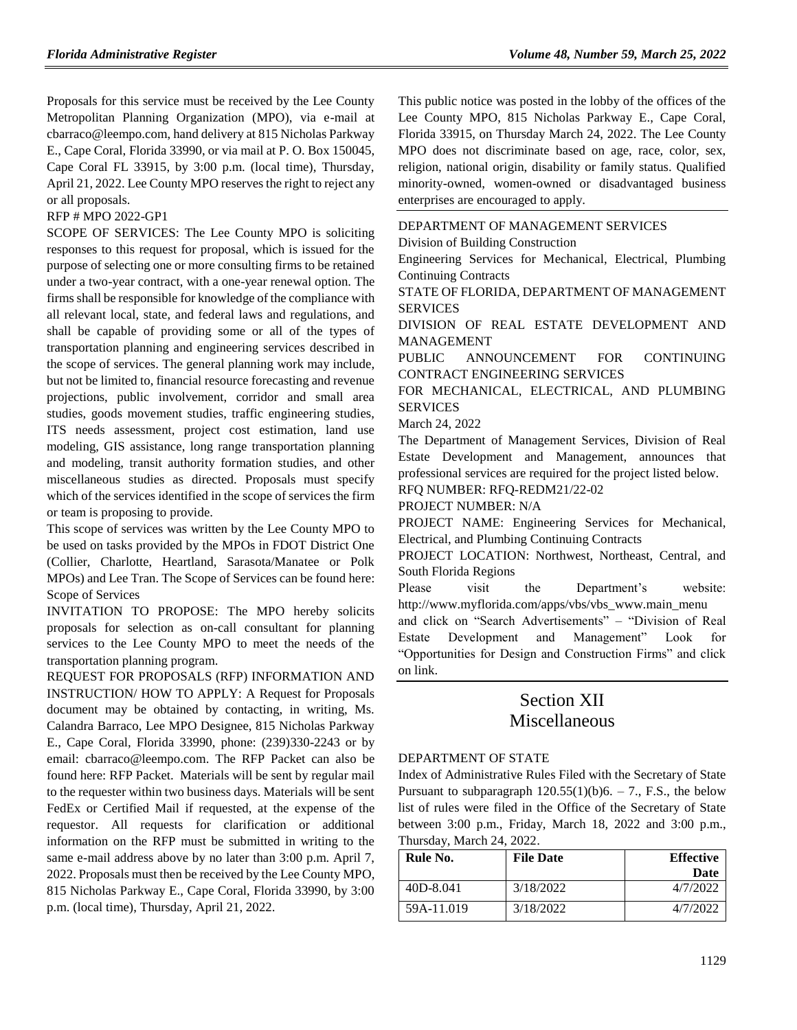Proposals for this service must be received by the Lee County Metropolitan Planning Organization (MPO), via e-mail at [cbarraco@leempo.com,](mailto:cbarraco@leempo.com) hand delivery at 815 Nicholas Parkway E., Cape Coral, Florida 33990, or via mail at P. O. Box 150045, Cape Coral FL 33915, by 3:00 p.m. (local time), Thursday, April 21, 2022. Lee County MPO reserves the right to reject any or all proposals.

RFP # MPO 2022-GP1

SCOPE OF SERVICES: The Lee County MPO is soliciting responses to this request for proposal, which is issued for the purpose of selecting one or more consulting firms to be retained under a two-year contract, with a one-year renewal option. The firms shall be responsible for knowledge of the compliance with all relevant local, state, and federal laws and regulations, and shall be capable of providing some or all of the types of transportation planning and engineering services described in the scope of services. The general planning work may include, but not be limited to, financial resource forecasting and revenue projections, public involvement, corridor and small area studies, goods movement studies, traffic engineering studies, ITS needs assessment, project cost estimation, land use modeling, GIS assistance, long range transportation planning and modeling, transit authority formation studies, and other miscellaneous studies as directed. Proposals must specify which of the services identified in the scope of services the firm or team is proposing to provide.

This scope of services was written by the Lee County MPO to be used on tasks provided by the MPOs in FDOT District One (Collier, Charlotte, Heartland, Sarasota/Manatee or Polk MPOs) and Lee Tran. The Scope of Services can be found here: [Scope of Services](https://leempo.com/wp-content/uploads/Exhibit-A-Scope-of-Services.pdf)

INVITATION TO PROPOSE: The MPO hereby solicits proposals for selection as on-call consultant for planning services to the Lee County MPO to meet the needs of the transportation planning program.

REQUEST FOR PROPOSALS (RFP) INFORMATION AND INSTRUCTION/ HOW TO APPLY: A Request for Proposals document may be obtained by contacting, in writing, Ms. Calandra Barraco, Lee MPO Designee, 815 Nicholas Parkway E., Cape Coral, Florida 33990, phone: (239)330-2243 or by email: cbarraco@leempo.com. The RFP Packet can also be found here: [RFP Packet.](https://leempo.com/work-with-us/) Materials will be sent by regular mail to the requester within two business days. Materials will be sent FedEx or Certified Mail if requested, at the expense of the requestor. All requests for clarification or additional information on the RFP must be submitted in writing to the same e-mail address above by no later than 3:00 p.m. April 7, 2022. Proposals must then be received by the Lee County MPO, 815 Nicholas Parkway E., Cape Coral, Florida 33990, by 3:00 p.m. (local time), Thursday, April 21, 2022.

This public notice was posted in the lobby of the offices of the Lee County MPO, 815 Nicholas Parkway E., Cape Coral, Florida 33915, on Thursday March 24, 2022. The Lee County MPO does not discriminate based on age, race, color, sex, religion, national origin, disability or family status. Qualified minority-owned, women-owned or disadvantaged business enterprises are encouraged to apply.

### [DEPARTMENT OF MANAGEMENT SERVICES](https://www.flrules.org/gateway/department.asp?id=60)

[Division of Building Construction](https://www.flrules.org/gateway/organization.asp?id=225)

Engineering Services for Mechanical, Electrical, Plumbing Continuing Contracts

STATE OF FLORIDA, DEPARTMENT OF MANAGEMENT SERVICES

DIVISION OF REAL ESTATE DEVELOPMENT AND MANAGEMENT

PUBLIC ANNOUNCEMENT FOR CONTINUING CONTRACT ENGINEERING SERVICES

FOR MECHANICAL, ELECTRICAL, AND PLUMBING SERVICES

March 24, 2022

The Department of Management Services, Division of Real Estate Development and Management, announces that professional services are required for the project listed below. RFQ NUMBER: RFQ-REDM21/22-02

PROJECT NUMBER: N/A

PROJECT NAME: Engineering Services for Mechanical, Electrical, and Plumbing Continuing Contracts

PROJECT LOCATION: Northwest, Northeast, Central, and South Florida Regions

Please visit the Department's website: http://www.myflorida.com/apps/vbs/vbs\_www.main\_menu

and click on "Search Advertisements" – "Division of Real Estate Development and Management" Look for "Opportunities for Design and Construction Firms" and click on link.

# Section XII Miscellaneous

### [DEPARTMENT OF STATE](https://www.flrules.org/gateway/department.asp?id=1)

Index of Administrative Rules Filed with the Secretary of State Pursuant to subparagraph  $120.55(1)(b)6. - 7$ ., F.S., the below list of rules were filed in the Office of the Secretary of State between 3:00 p.m., Friday, March 18, 2022 and 3:00 p.m., Thursday, March 24, 2022.

| Rule No.   | <b>File Date</b> | <b>Effective</b> |
|------------|------------------|------------------|
|            |                  | Date             |
| 40D-8.041  | 3/18/2022        | 4/7/2022         |
| 59A-11.019 | 3/18/2022        | 4/7/2022         |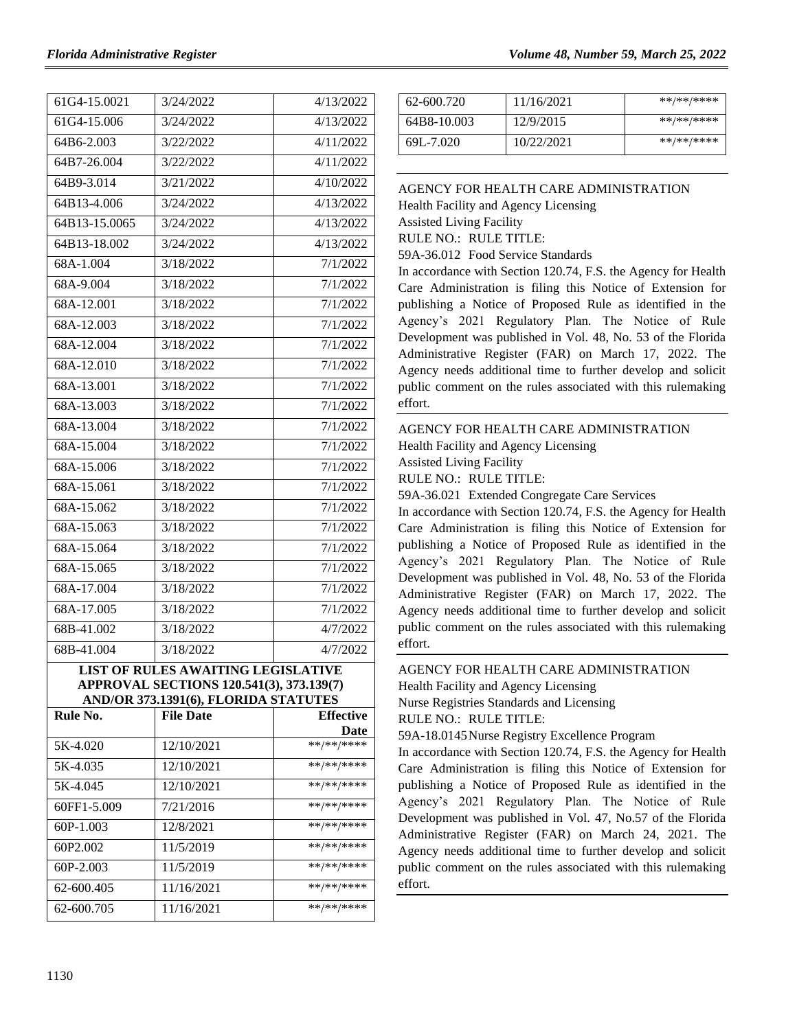| 61G4-15.0021                              | 3/24/2022 | 4/13/2022 |  |  |
|-------------------------------------------|-----------|-----------|--|--|
| 61G4-15.006                               | 3/24/2022 | 4/13/2022 |  |  |
| 64B6-2.003                                | 3/22/2022 | 4/11/2022 |  |  |
| 64B7-26.004                               | 3/22/2022 | 4/11/2022 |  |  |
| 64B9-3.014                                | 3/21/2022 | 4/10/2022 |  |  |
| 64B13-4.006                               | 3/24/2022 | 4/13/2022 |  |  |
| 64B13-15.0065                             | 3/24/2022 | 4/13/2022 |  |  |
| 64B13-18.002                              | 3/24/2022 | 4/13/2022 |  |  |
| 68A-1.004                                 | 3/18/2022 | 7/1/2022  |  |  |
| 68A-9.004                                 | 3/18/2022 | 7/1/2022  |  |  |
| 68A-12.001                                | 3/18/2022 | 7/1/2022  |  |  |
| 68A-12.003                                | 3/18/2022 | 7/1/2022  |  |  |
| 68A-12.004                                | 3/18/2022 | 7/1/2022  |  |  |
| $68A-12.010$                              | 3/18/2022 | 7/1/2022  |  |  |
| 68A-13.001                                | 3/18/2022 | 7/1/2022  |  |  |
| 68A-13.003                                | 3/18/2022 | 7/1/2022  |  |  |
| 68A-13.004                                | 3/18/2022 | 7/1/2022  |  |  |
| 68A-15.004                                | 3/18/2022 | 7/1/2022  |  |  |
| 68A-15.006                                | 3/18/2022 | 7/1/2022  |  |  |
| 68A-15.061                                | 3/18/2022 | 7/1/2022  |  |  |
| 68A-15.062                                | 3/18/2022 | 7/1/2022  |  |  |
| 68A-15.063                                | 3/18/2022 | 7/1/2022  |  |  |
| 68A-15.064                                | 3/18/2022 | 7/1/2022  |  |  |
| 68A-15.065                                | 3/18/2022 | 7/1/2022  |  |  |
| 68A-17.004                                | 3/18/2022 | 7/1/2022  |  |  |
| 68A-17.005                                | 3/18/2022 | 7/1/2022  |  |  |
| 68B-41.002                                | 3/18/2022 | 4/7/2022  |  |  |
| 68B-41.004                                | 3/18/2022 | 4/7/2022  |  |  |
| <b>LIST OF RULES AWAITING LEGISLATIVE</b> |           |           |  |  |

**APPROVAL SECTIONS 120.541(3), 373.139(7) AND/OR 373.1391(6), FLORIDA STATUTES**

| Rule No.             | <b>File Date</b> | <b>Effective</b> |
|----------------------|------------------|------------------|
|                      |                  | Date             |
| 5K-4.020             | 12/10/2021       | **/**/****       |
| 5K-4.035             | 12/10/2021       | **/**/****       |
| 5K-4.045             | 12/10/2021       | **/**/****       |
| 60FF1-5.009          | 7/21/2016        | **/**/****       |
| $60P-1.003$          | 12/8/2021        | **/**/****       |
| 60P <sub>2.002</sub> | 11/5/2019        | **/**/****       |
| $60P-2.003$          | 11/5/2019        | **/**/****       |
| 62-600.405           | 11/16/2021       | **/**/****       |
| 62-600.705           | 11/16/2021       | **/**/****       |

| 62-600.720  | 11/16/2021 | **/**/**** |
|-------------|------------|------------|
| 64B8-10.003 | 12/9/2015  | **/**/**** |
| 69L-7.020   | 10/22/2021 | **/**/**** |

#### [AGENCY FOR HEALTH CARE ADMINISTRATION](https://www.flrules.org/gateway/department.asp?id=59)

[Health Facility and Agency Licensing](https://www.flrules.org/gateway/organization.asp?id=186)

Assisted Living Facility

RULE NO.: RULE TITLE:

[59A-36.012](https://www.flrules.org/gateway/ruleNo.asp?id=59A-36.012) Food Service Standards

In accordance with Section 120.74, F.S. the Agency for Health Care Administration is filing this Notice of Extension for publishing a Notice of Proposed Rule as identified in the Agency's 2021 Regulatory Plan. The Notice of Rule Development was published in Vol. 48, No. 53 of the Florida Administrative Register (FAR) on March 17, 2022. The Agency needs additional time to further develop and solicit public comment on the rules associated with this rulemaking effort.

## [AGENCY FOR HEALTH CARE ADMINISTRATION](https://www.flrules.org/gateway/department.asp?id=59)

[Health Facility and Agency Licensing](https://www.flrules.org/gateway/organization.asp?id=186)

Assisted Living Facility

RULE NO.: RULE TITLE:

[59A-36.021](https://www.flrules.org/gateway/ruleNo.asp?id=59A-36.021) Extended Congregate Care Services

In accordance with Section 120.74, F.S. the Agency for Health Care Administration is filing this Notice of Extension for publishing a Notice of Proposed Rule as identified in the Agency's 2021 Regulatory Plan. The Notice of Rule Development was published in Vol. 48, No. 53 of the Florida Administrative Register (FAR) on March 17, 2022. The Agency needs additional time to further develop and solicit public comment on the rules associated with this rulemaking effort.

## [AGENCY FOR HEALTH CARE ADMINISTRATION](https://www.flrules.org/gateway/department.asp?id=59)

[Health Facility and Agency Licensing](https://www.flrules.org/gateway/organization.asp?id=186) Nurse Registries Standards and Licensing

RULE NO.: RULE TITLE:

[59A-18.0145N](https://www.flrules.org/gateway/ruleNo.asp?id=59A-18.0145)urse Registry Excellence Program

In accordance with Section 120.74, F.S. the Agency for Health Care Administration is filing this Notice of Extension for publishing a Notice of Proposed Rule as identified in the Agency's 2021 Regulatory Plan. The Notice of Rule Development was published in Vol. 47, No.57 of the Florida Administrative Register (FAR) on March 24, 2021. The Agency needs additional time to further develop and solicit public comment on the rules associated with this rulemaking effort.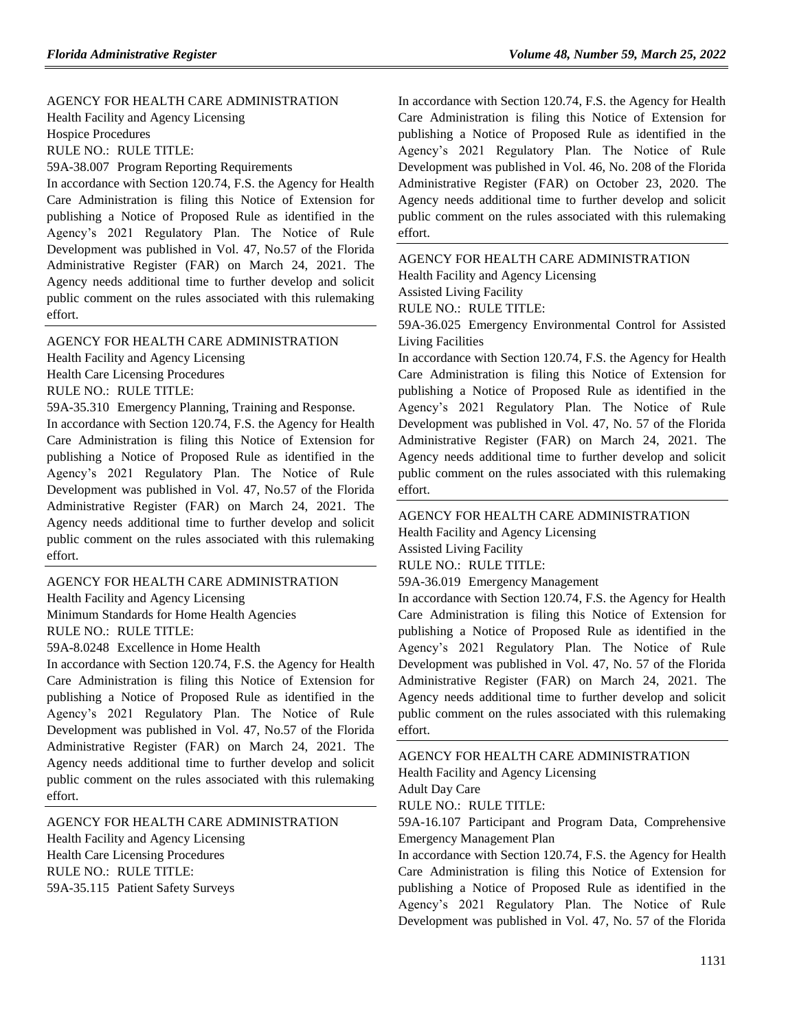#### [AGENCY FOR HEALTH CARE ADMINISTRATION](https://www.flrules.org/gateway/department.asp?id=59)

[Health Facility and Agency Licensing](https://www.flrules.org/gateway/organization.asp?id=186)

Hospice Procedures

RULE NO.: RULE TITLE:

[59A-38.007](https://www.flrules.org/gateway/ruleNo.asp?id=59A-38.007) Program Reporting Requirements

In accordance with Section 120.74, F.S. the Agency for Health Care Administration is filing this Notice of Extension for publishing a Notice of Proposed Rule as identified in the Agency's 2021 Regulatory Plan. The Notice of Rule Development was published in Vol. 47, No.57 of the Florida Administrative Register (FAR) on March 24, 2021. The Agency needs additional time to further develop and solicit public comment on the rules associated with this rulemaking effort.

#### [AGENCY FOR HEALTH CARE ADMINISTRATION](https://www.flrules.org/gateway/department.asp?id=59)

[Health Facility and Agency Licensing](https://www.flrules.org/gateway/organization.asp?id=186)

Health Care Licensing Procedures

RULE NO.: RULE TITLE:

[59A-35.310](https://www.flrules.org/gateway/ruleNo.asp?id=59A-35.310) Emergency Planning, Training and Response.

In accordance with Section 120.74, F.S. the Agency for Health Care Administration is filing this Notice of Extension for publishing a Notice of Proposed Rule as identified in the Agency's 2021 Regulatory Plan. The Notice of Rule Development was published in Vol. 47, No.57 of the Florida Administrative Register (FAR) on March 24, 2021. The Agency needs additional time to further develop and solicit public comment on the rules associated with this rulemaking effort.

#### [AGENCY FOR HEALTH CARE ADMINISTRATION](https://www.flrules.org/gateway/department.asp?id=59) [Health Facility and Agency Licensing](https://www.flrules.org/gateway/organization.asp?id=186)

Minimum Standards for Home Health Agencies RULE NO.: RULE TITLE:

[59A-8.0248](https://www.flrules.org/gateway/ruleNo.asp?id=59A-8.0248) Excellence in Home Health

In accordance with Section 120.74, F.S. the Agency for Health Care Administration is filing this Notice of Extension for publishing a Notice of Proposed Rule as identified in the Agency's 2021 Regulatory Plan. The Notice of Rule Development was published in Vol. 47, No.57 of the Florida Administrative Register (FAR) on March 24, 2021. The Agency needs additional time to further develop and solicit public comment on the rules associated with this rulemaking effort.

#### [AGENCY FOR HEALTH CARE ADMINISTRATION](https://www.flrules.org/gateway/department.asp?id=59) [Health Facility and Agency Licensing](https://www.flrules.org/gateway/organization.asp?id=186)

Health Care Licensing Procedures RULE NO.: RULE TITLE: [59A-35.115](https://www.flrules.org/gateway/ruleNo.asp?id=59A-35.115) Patient Safety Surveys

In accordance with Section 120.74, F.S. the Agency for Health Care Administration is filing this Notice of Extension for publishing a Notice of Proposed Rule as identified in the Agency's 2021 Regulatory Plan. The Notice of Rule Development was published in Vol. 46, No. 208 of the Florida Administrative Register (FAR) on October 23, 2020. The Agency needs additional time to further develop and solicit public comment on the rules associated with this rulemaking effort.

[AGENCY FOR HEALTH CARE ADMINISTRATION](https://www.flrules.org/gateway/department.asp?id=59) [Health Facility and Agency Licensing](https://www.flrules.org/gateway/organization.asp?id=186) Assisted Living Facility RULE NO.: RULE TITLE:

[59A-36.025](https://www.flrules.org/gateway/ruleNo.asp?id=59A-36.025) Emergency Environmental Control for Assisted Living Facilities

In accordance with Section 120.74, F.S. the Agency for Health Care Administration is filing this Notice of Extension for publishing a Notice of Proposed Rule as identified in the Agency's 2021 Regulatory Plan. The Notice of Rule Development was published in Vol. 47, No. 57 of the Florida Administrative Register (FAR) on March 24, 2021. The Agency needs additional time to further develop and solicit public comment on the rules associated with this rulemaking effort.

[AGENCY FOR HEALTH CARE ADMINISTRATION](https://www.flrules.org/gateway/department.asp?id=59) [Health Facility and Agency Licensing](https://www.flrules.org/gateway/organization.asp?id=186)

Assisted Living Facility

RULE NO.: RULE TITLE:

[59A-36.019](https://www.flrules.org/gateway/ruleNo.asp?id=59A-36.019) Emergency Management

In accordance with Section 120.74, F.S. the Agency for Health Care Administration is filing this Notice of Extension for publishing a Notice of Proposed Rule as identified in the Agency's 2021 Regulatory Plan. The Notice of Rule Development was published in Vol. 47, No. 57 of the Florida Administrative Register (FAR) on March 24, 2021. The Agency needs additional time to further develop and solicit public comment on the rules associated with this rulemaking effort.

### [AGENCY FOR HEALTH CARE ADMINISTRATION](https://www.flrules.org/gateway/department.asp?id=59)

[Health Facility and Agency Licensing](https://www.flrules.org/gateway/organization.asp?id=186)

Adult Day Care

RULE NO.: RULE TITLE:

### [59A-16.107](https://www.flrules.org/gateway/ruleNo.asp?id=59A-16.107) Participant and Program Data, Comprehensive Emergency Management Plan

In accordance with Section 120.74, F.S. the Agency for Health Care Administration is filing this Notice of Extension for publishing a Notice of Proposed Rule as identified in the Agency's 2021 Regulatory Plan. The Notice of Rule Development was published in Vol. 47, No. 57 of the Florida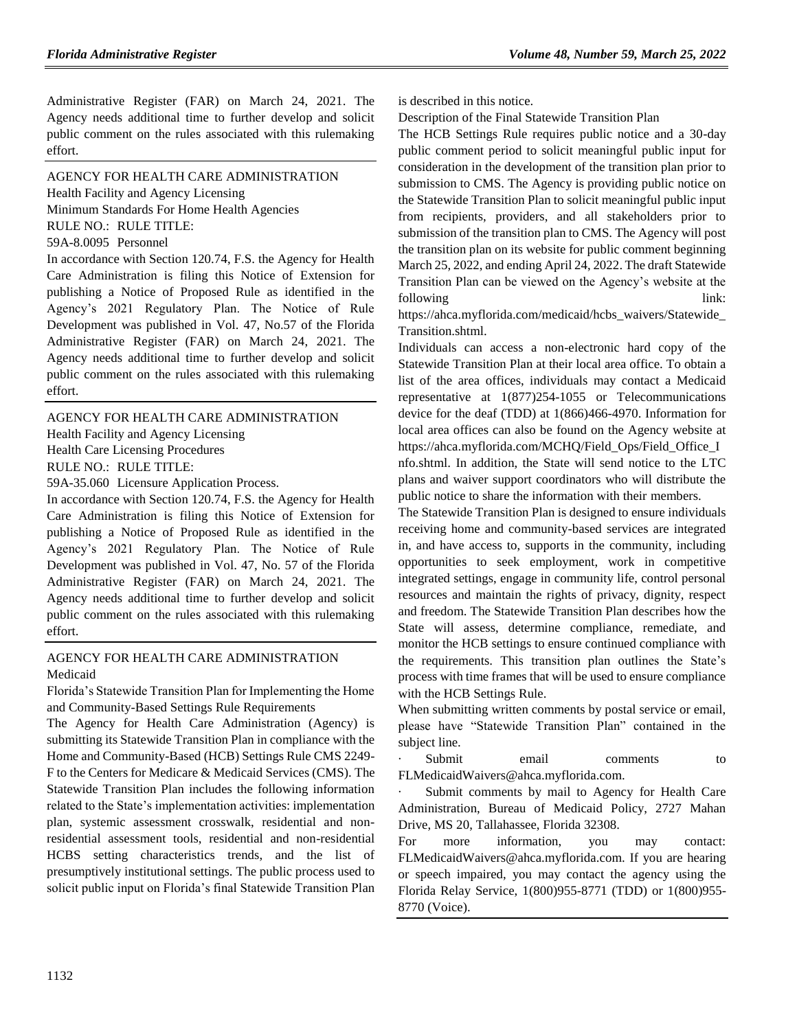Administrative Register (FAR) on March 24, 2021. The Agency needs additional time to further develop and solicit public comment on the rules associated with this rulemaking effort.

[AGENCY FOR HEALTH CARE ADMINISTRATION](https://www.flrules.org/gateway/department.asp?id=59) [Health Facility and Agency Licensing](https://www.flrules.org/gateway/organization.asp?id=186) Minimum Standards For Home Health Agencies

RULE NO.: RULE TITLE:

[59A-8.0095](https://www.flrules.org/gateway/ruleNo.asp?id=59A-8.0095) Personnel

In accordance with Section 120.74, F.S. the Agency for Health Care Administration is filing this Notice of Extension for publishing a Notice of Proposed Rule as identified in the Agency's 2021 Regulatory Plan. The Notice of Rule Development was published in Vol. 47, No.57 of the Florida Administrative Register (FAR) on March 24, 2021. The Agency needs additional time to further develop and solicit public comment on the rules associated with this rulemaking effort.

[AGENCY FOR HEALTH CARE ADMINISTRATION](https://www.flrules.org/gateway/department.asp?id=59) [Health Facility and Agency Licensing](https://www.flrules.org/gateway/organization.asp?id=186) Health Care Licensing Procedures RULE NO.: RULE TITLE: [59A-35.060](https://www.flrules.org/gateway/ruleNo.asp?id=59A-35.060) Licensure Application Process.

In accordance with Section 120.74, F.S. the Agency for Health Care Administration is filing this Notice of Extension for publishing a Notice of Proposed Rule as identified in the Agency's 2021 Regulatory Plan. The Notice of Rule Development was published in Vol. 47, No. 57 of the Florida Administrative Register (FAR) on March 24, 2021. The Agency needs additional time to further develop and solicit public comment on the rules associated with this rulemaking effort.

### [AGENCY FOR HEALTH CARE ADMINISTRATION](https://www.flrules.org/gateway/department.asp?id=59) [Medicaid](https://www.flrules.org/gateway/organization.asp?id=192)

Florida's Statewide Transition Plan for Implementing the Home and Community-Based Settings Rule Requirements

The Agency for Health Care Administration (Agency) is submitting its Statewide Transition Plan in compliance with the Home and Community-Based (HCB) Settings Rule CMS 2249- F to the Centers for Medicare & Medicaid Services (CMS). The Statewide Transition Plan includes the following information related to the State's implementation activities: implementation plan, systemic assessment crosswalk, residential and nonresidential assessment tools, residential and non-residential HCBS setting characteristics trends, and the list of presumptively institutional settings. The public process used to solicit public input on Florida's final Statewide Transition Plan

is described in this notice.

Description of the Final Statewide Transition Plan

The HCB Settings Rule requires public notice and a 30-day public comment period to solicit meaningful public input for consideration in the development of the transition plan prior to submission to CMS. The Agency is providing public notice on the Statewide Transition Plan to solicit meaningful public input from recipients, providers, and all stakeholders prior to submission of the transition plan to CMS. The Agency will post the transition plan on its website for public comment beginning March 25, 2022, and ending April 24, 2022. The draft Statewide Transition Plan can be viewed on the Agency's website at the following link:

[https://ahca.myflorida.com/medicaid/hcbs\\_waivers/Statewide\\_](https://ahca.myflorida.com/medicaid/hcbs_waivers/Statewide_Transition.shtml) [Transition.shtml.](https://ahca.myflorida.com/medicaid/hcbs_waivers/Statewide_Transition.shtml)

Individuals can access a non-electronic hard copy of the Statewide Transition Plan at their local area office. To obtain a list of the area offices, individuals may contact a Medicaid representative at 1(877)254-1055 or Telecommunications device for the deaf (TDD) at 1(866)466-4970. Information for local area offices can also be found on the Agency website at [https://ahca.myflorida.com/MCHQ/Field\\_Ops/Field\\_Office\\_I](https://ahca.myflorida.com/MCHQ/Field_Ops/Field_Office_Info.shtml) [nfo.shtml.](https://ahca.myflorida.com/MCHQ/Field_Ops/Field_Office_Info.shtml) In addition, the State will send notice to the LTC plans and waiver support coordinators who will distribute the public notice to share the information with their members.

The Statewide Transition Plan is designed to ensure individuals receiving home and community-based services are integrated in, and have access to, supports in the community, including opportunities to seek employment, work in competitive integrated settings, engage in community life, control personal resources and maintain the rights of privacy, dignity, respect and freedom. The Statewide Transition Plan describes how the State will assess, determine compliance, remediate, and monitor the HCB settings to ensure continued compliance with the requirements. This transition plan outlines the State's process with time frames that will be used to ensure compliance with the HCB Settings Rule.

When submitting written comments by postal service or email, please have "Statewide Transition Plan" contained in the subject line.

Submit email comments to [FLMedicaidWaivers@ahca.myflorida.com.](mailto:FLMedicaidWaivers@ahca.myflorida.com)

Submit comments by mail to Agency for Health Care Administration, Bureau of Medicaid Policy, 2727 Mahan Drive, MS 20, Tallahassee, Florida 32308.

For more information, you may contact: [FLMedicaidWaivers@ahca.myflorida.com.](mailto:FLMedicaidWaivers@ahca.myflorida.com) If you are hearing or speech impaired, you may contact the agency using the Florida Relay Service, 1(800)955-8771 (TDD) or 1(800)955- 8770 (Voice).